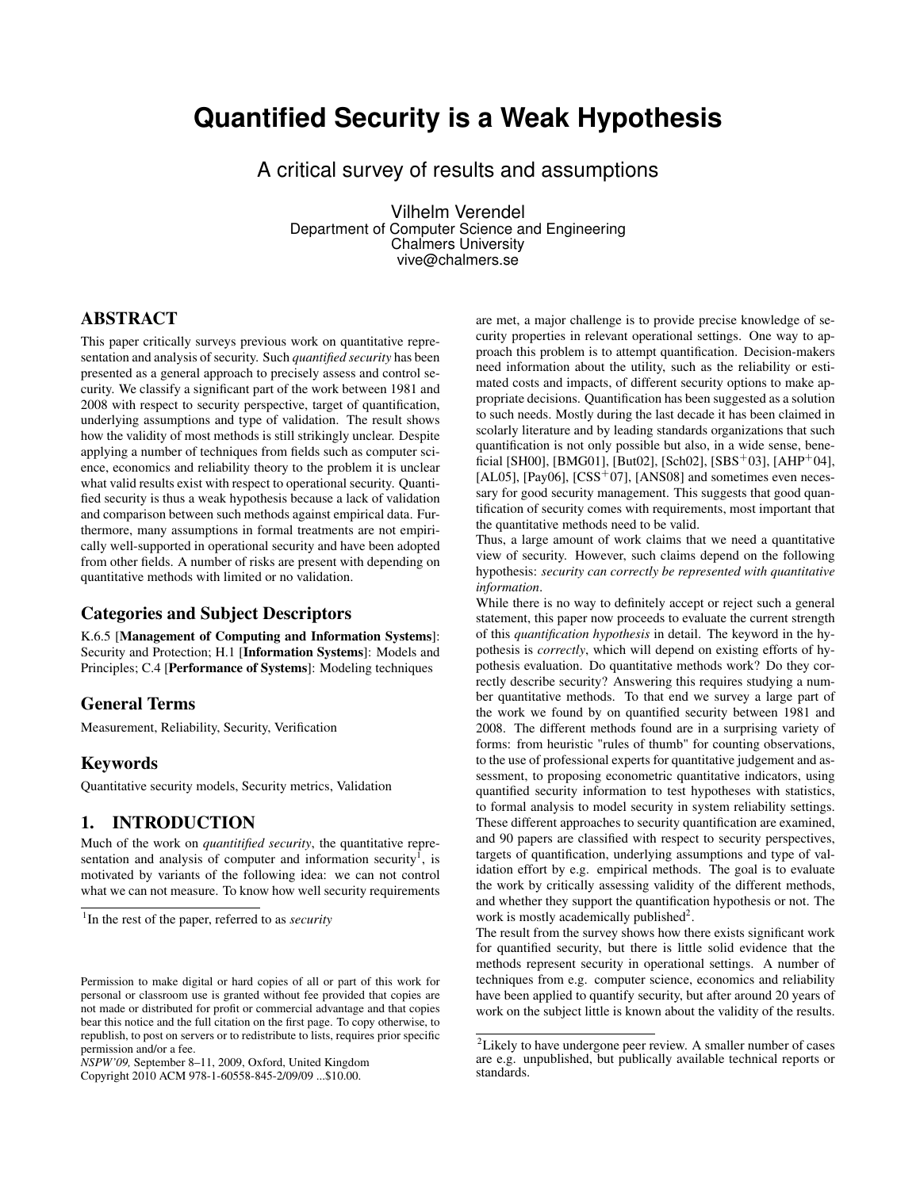# **Quantified Security is a Weak Hypothesis**

A critical survey of results and assumptions

Vilhelm Verendel Department of Computer Science and Engineering Chalmers University vive@chalmers.se

## ABSTRACT

This paper critically surveys previous work on quantitative representation and analysis of security. Such *quantified security* has been presented as a general approach to precisely assess and control security. We classify a significant part of the work between 1981 and 2008 with respect to security perspective, target of quantification, underlying assumptions and type of validation. The result shows how the validity of most methods is still strikingly unclear. Despite applying a number of techniques from fields such as computer science, economics and reliability theory to the problem it is unclear what valid results exist with respect to operational security. Quantified security is thus a weak hypothesis because a lack of validation and comparison between such methods against empirical data. Furthermore, many assumptions in formal treatments are not empirically well-supported in operational security and have been adopted from other fields. A number of risks are present with depending on quantitative methods with limited or no validation.

#### Categories and Subject Descriptors

K.6.5 [Management of Computing and Information Systems]: Security and Protection; H.1 [Information Systems]: Models and Principles; C.4 [Performance of Systems]: Modeling techniques

#### General Terms

Measurement, Reliability, Security, Verification

#### Keywords

Quantitative security models, Security metrics, Validation

#### 1. INTRODUCTION

Much of the work on *quantitified security*, the quantitative representation and analysis of computer and information security<sup> $I$ </sup>, is motivated by variants of the following idea: we can not control what we can not measure. To know how well security requirements

Copyright 2010 ACM 978-1-60558-845-2/09/09 ...\$10.00.

are met, a major challenge is to provide precise knowledge of security properties in relevant operational settings. One way to approach this problem is to attempt quantification. Decision-makers need information about the utility, such as the reliability or estimated costs and impacts, of different security options to make appropriate decisions. Quantification has been suggested as a solution to such needs. Mostly during the last decade it has been claimed in scolarly literature and by leading standards organizations that such quantification is not only possible but also, in a wide sense, beneficial [SH00], [BMG01], [But02], [Sch02], [SBS<sup>+</sup>03], [AHP<sup>+</sup>04], [AL05], [Pay06], [CSS<sup>+</sup>07], [ANS08] and sometimes even necessary for good security management. This suggests that good quantification of security comes with requirements, most important that the quantitative methods need to be valid.

Thus, a large amount of work claims that we need a quantitative view of security. However, such claims depend on the following hypothesis: *security can correctly be represented with quantitative information*.

While there is no way to definitely accept or reject such a general statement, this paper now proceeds to evaluate the current strength of this *quantification hypothesis* in detail. The keyword in the hypothesis is *correctly*, which will depend on existing efforts of hypothesis evaluation. Do quantitative methods work? Do they correctly describe security? Answering this requires studying a number quantitative methods. To that end we survey a large part of the work we found by on quantified security between 1981 and 2008. The different methods found are in a surprising variety of forms: from heuristic "rules of thumb" for counting observations, to the use of professional experts for quantitative judgement and assessment, to proposing econometric quantitative indicators, using quantified security information to test hypotheses with statistics, to formal analysis to model security in system reliability settings. These different approaches to security quantification are examined, and 90 papers are classified with respect to security perspectives, targets of quantification, underlying assumptions and type of validation effort by e.g. empirical methods. The goal is to evaluate the work by critically assessing validity of the different methods, and whether they support the quantification hypothesis or not. The work is mostly academically published<sup>2</sup>.

The result from the survey shows how there exists significant work for quantified security, but there is little solid evidence that the methods represent security in operational settings. A number of techniques from e.g. computer science, economics and reliability have been applied to quantify security, but after around 20 years of work on the subject little is known about the validity of the results.

<sup>1</sup> In the rest of the paper, referred to as *security*

Permission to make digital or hard copies of all or part of this work for personal or classroom use is granted without fee provided that copies are not made or distributed for profit or commercial advantage and that copies bear this notice and the full citation on the first page. To copy otherwise, to republish, to post on servers or to redistribute to lists, requires prior specific permission and/or a fee.

*NSPW'09,* September 8–11, 2009, Oxford, United Kingdom

<sup>&</sup>lt;sup>2</sup>Likely to have undergone peer review. A smaller number of cases are e.g. unpublished, but publically available technical reports or standards.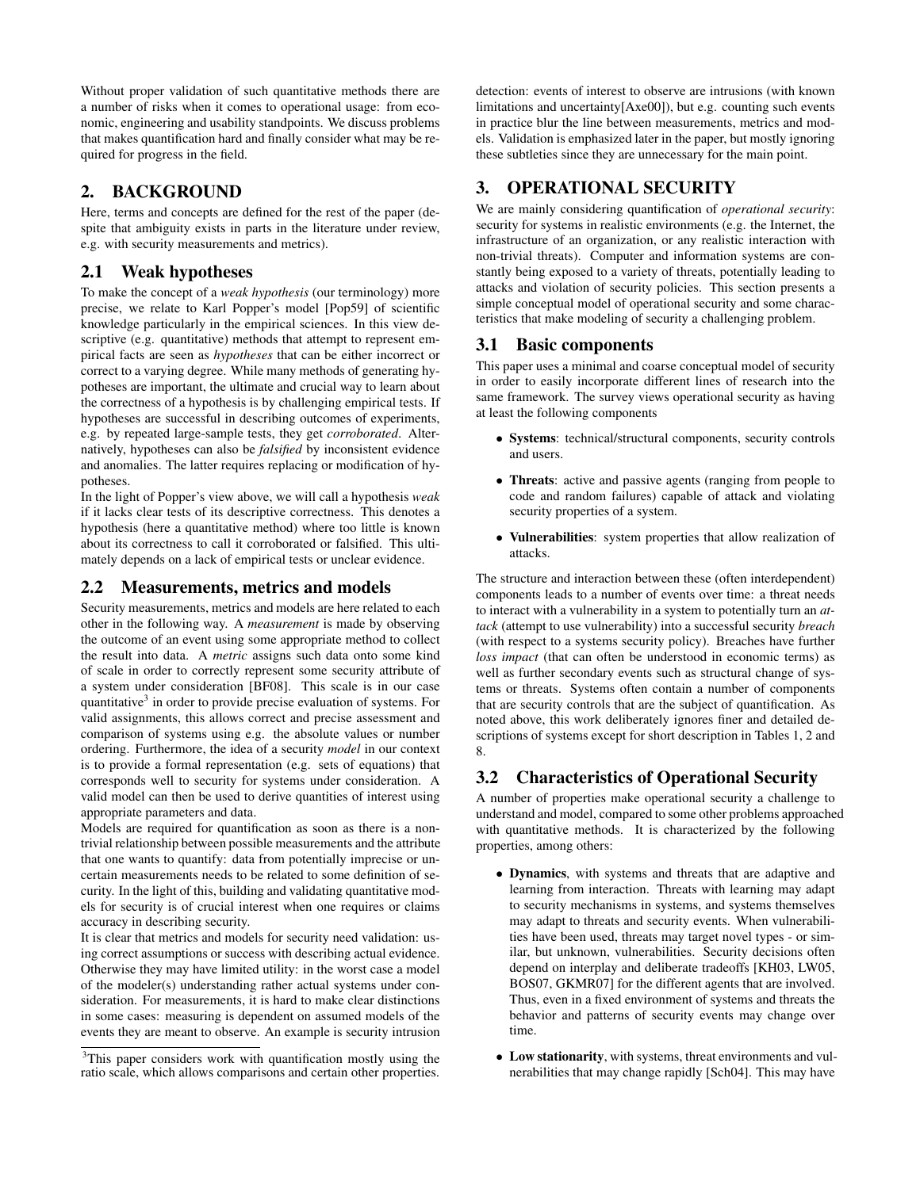Without proper validation of such quantitative methods there are a number of risks when it comes to operational usage: from economic, engineering and usability standpoints. We discuss problems that makes quantification hard and finally consider what may be required for progress in the field.

## 2. BACKGROUND

Here, terms and concepts are defined for the rest of the paper (despite that ambiguity exists in parts in the literature under review, e.g. with security measurements and metrics).

## 2.1 Weak hypotheses

To make the concept of a *weak hypothesis* (our terminology) more precise, we relate to Karl Popper's model [Pop59] of scientific knowledge particularly in the empirical sciences. In this view descriptive (e.g. quantitative) methods that attempt to represent empirical facts are seen as *hypotheses* that can be either incorrect or correct to a varying degree. While many methods of generating hypotheses are important, the ultimate and crucial way to learn about the correctness of a hypothesis is by challenging empirical tests. If hypotheses are successful in describing outcomes of experiments, e.g. by repeated large-sample tests, they get *corroborated*. Alternatively, hypotheses can also be *falsified* by inconsistent evidence and anomalies. The latter requires replacing or modification of hypotheses.

In the light of Popper's view above, we will call a hypothesis *weak* if it lacks clear tests of its descriptive correctness. This denotes a hypothesis (here a quantitative method) where too little is known about its correctness to call it corroborated or falsified. This ultimately depends on a lack of empirical tests or unclear evidence.

### 2.2 Measurements, metrics and models

Security measurements, metrics and models are here related to each other in the following way. A *measurement* is made by observing the outcome of an event using some appropriate method to collect the result into data. A *metric* assigns such data onto some kind of scale in order to correctly represent some security attribute of a system under consideration [BF08]. This scale is in our case quantitative<sup>3</sup> in order to provide precise evaluation of systems. For valid assignments, this allows correct and precise assessment and comparison of systems using e.g. the absolute values or number ordering. Furthermore, the idea of a security *model* in our context is to provide a formal representation (e.g. sets of equations) that corresponds well to security for systems under consideration. A valid model can then be used to derive quantities of interest using appropriate parameters and data.

Models are required for quantification as soon as there is a nontrivial relationship between possible measurements and the attribute that one wants to quantify: data from potentially imprecise or uncertain measurements needs to be related to some definition of security. In the light of this, building and validating quantitative models for security is of crucial interest when one requires or claims accuracy in describing security.

It is clear that metrics and models for security need validation: using correct assumptions or success with describing actual evidence. Otherwise they may have limited utility: in the worst case a model of the modeler(s) understanding rather actual systems under consideration. For measurements, it is hard to make clear distinctions in some cases: measuring is dependent on assumed models of the events they are meant to observe. An example is security intrusion detection: events of interest to observe are intrusions (with known limitations and uncertainty[Axe00]), but e.g. counting such events in practice blur the line between measurements, metrics and models. Validation is emphasized later in the paper, but mostly ignoring these subtleties since they are unnecessary for the main point.

# 3. OPERATIONAL SECURITY

We are mainly considering quantification of *operational security*: security for systems in realistic environments (e.g. the Internet, the infrastructure of an organization, or any realistic interaction with non-trivial threats). Computer and information systems are constantly being exposed to a variety of threats, potentially leading to attacks and violation of security policies. This section presents a simple conceptual model of operational security and some characteristics that make modeling of security a challenging problem.

## 3.1 Basic components

This paper uses a minimal and coarse conceptual model of security in order to easily incorporate different lines of research into the same framework. The survey views operational security as having at least the following components

- Systems: technical/structural components, security controls and users.
- Threats: active and passive agents (ranging from people to code and random failures) capable of attack and violating security properties of a system.
- Vulnerabilities: system properties that allow realization of attacks.

The structure and interaction between these (often interdependent) components leads to a number of events over time: a threat needs to interact with a vulnerability in a system to potentially turn an *attack* (attempt to use vulnerability) into a successful security *breach* (with respect to a systems security policy). Breaches have further *loss impact* (that can often be understood in economic terms) as well as further secondary events such as structural change of systems or threats. Systems often contain a number of components that are security controls that are the subject of quantification. As noted above, this work deliberately ignores finer and detailed descriptions of systems except for short description in Tables 1, 2 and 8.

## 3.2 Characteristics of Operational Security

A number of properties make operational security a challenge to understand and model, compared to some other problems approached with quantitative methods. It is characterized by the following properties, among others:

- Dynamics, with systems and threats that are adaptive and learning from interaction. Threats with learning may adapt to security mechanisms in systems, and systems themselves may adapt to threats and security events. When vulnerabilities have been used, threats may target novel types - or similar, but unknown, vulnerabilities. Security decisions often depend on interplay and deliberate tradeoffs [KH03, LW05, BOS07, GKMR07] for the different agents that are involved. Thus, even in a fixed environment of systems and threats the behavior and patterns of security events may change over time.
- Low stationarity, with systems, threat environments and vulnerabilities that may change rapidly [Sch04]. This may have

<sup>&</sup>lt;sup>3</sup>This paper considers work with quantification mostly using the ratio scale, which allows comparisons and certain other properties.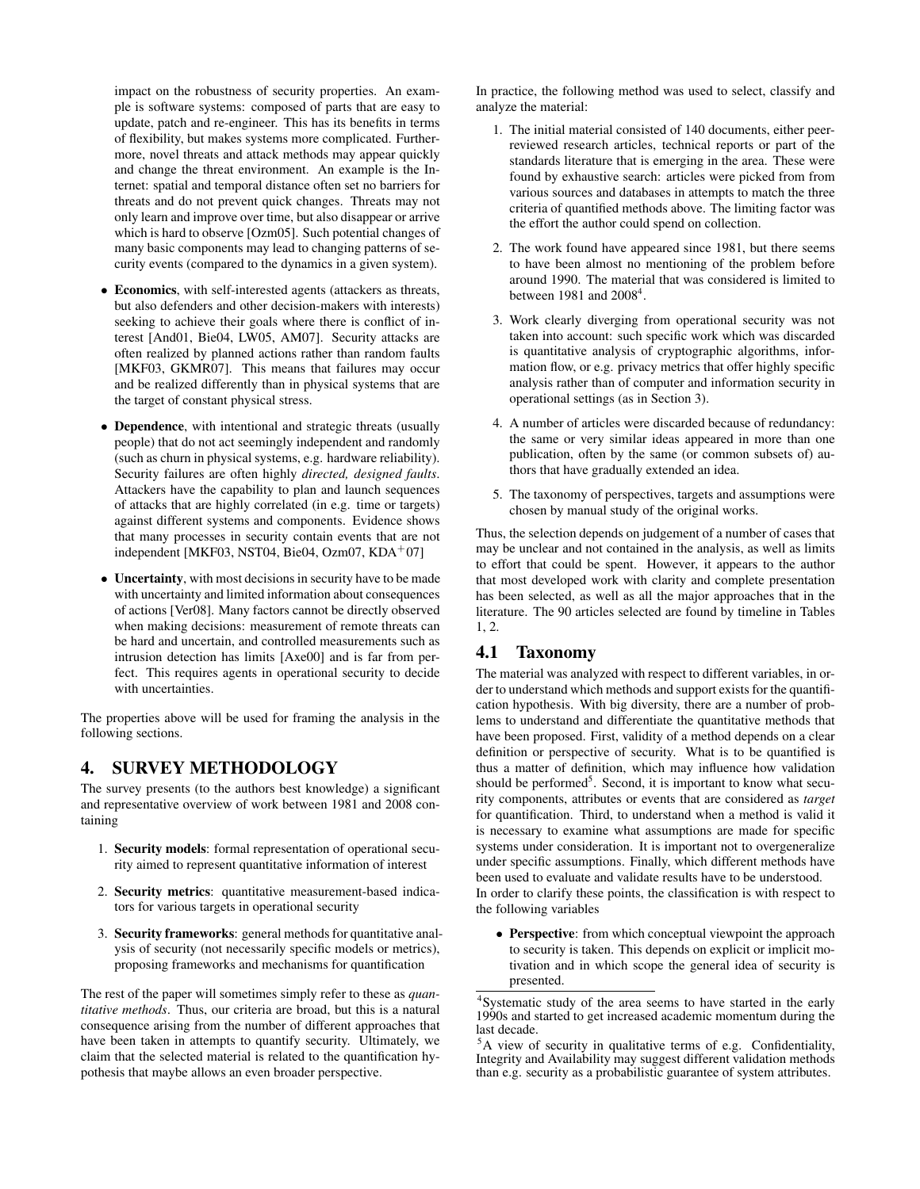impact on the robustness of security properties. An example is software systems: composed of parts that are easy to update, patch and re-engineer. This has its benefits in terms of flexibility, but makes systems more complicated. Furthermore, novel threats and attack methods may appear quickly and change the threat environment. An example is the Internet: spatial and temporal distance often set no barriers for threats and do not prevent quick changes. Threats may not only learn and improve over time, but also disappear or arrive which is hard to observe [Ozm05]. Such potential changes of many basic components may lead to changing patterns of security events (compared to the dynamics in a given system).

- Economics, with self-interested agents (attackers as threats, but also defenders and other decision-makers with interests) seeking to achieve their goals where there is conflict of interest [And01, Bie04, LW05, AM07]. Security attacks are often realized by planned actions rather than random faults [MKF03, GKMR07]. This means that failures may occur and be realized differently than in physical systems that are the target of constant physical stress.
- Dependence, with intentional and strategic threats (usually people) that do not act seemingly independent and randomly (such as churn in physical systems, e.g. hardware reliability). Security failures are often highly *directed, designed faults*. Attackers have the capability to plan and launch sequences of attacks that are highly correlated (in e.g. time or targets) against different systems and components. Evidence shows that many processes in security contain events that are not independent [MKF03, NST04, Bie04, Ozm07, KDA+07]
- Uncertainty, with most decisions in security have to be made with uncertainty and limited information about consequences of actions [Ver08]. Many factors cannot be directly observed when making decisions: measurement of remote threats can be hard and uncertain, and controlled measurements such as intrusion detection has limits [Axe00] and is far from perfect. This requires agents in operational security to decide with uncertainties.

The properties above will be used for framing the analysis in the following sections.

## 4. SURVEY METHODOLOGY

The survey presents (to the authors best knowledge) a significant and representative overview of work between 1981 and 2008 containing

- 1. Security models: formal representation of operational security aimed to represent quantitative information of interest
- 2. Security metrics: quantitative measurement-based indicators for various targets in operational security
- 3. Security frameworks: general methods for quantitative analysis of security (not necessarily specific models or metrics), proposing frameworks and mechanisms for quantification

The rest of the paper will sometimes simply refer to these as *quantitative methods*. Thus, our criteria are broad, but this is a natural consequence arising from the number of different approaches that have been taken in attempts to quantify security. Ultimately, we claim that the selected material is related to the quantification hypothesis that maybe allows an even broader perspective.

In practice, the following method was used to select, classify and analyze the material:

- 1. The initial material consisted of 140 documents, either peerreviewed research articles, technical reports or part of the standards literature that is emerging in the area. These were found by exhaustive search: articles were picked from from various sources and databases in attempts to match the three criteria of quantified methods above. The limiting factor was the effort the author could spend on collection.
- 2. The work found have appeared since 1981, but there seems to have been almost no mentioning of the problem before around 1990. The material that was considered is limited to between  $1981$  and  $2008<sup>4</sup>$ .
- 3. Work clearly diverging from operational security was not taken into account: such specific work which was discarded is quantitative analysis of cryptographic algorithms, information flow, or e.g. privacy metrics that offer highly specific analysis rather than of computer and information security in operational settings (as in Section 3).
- 4. A number of articles were discarded because of redundancy: the same or very similar ideas appeared in more than one publication, often by the same (or common subsets of) authors that have gradually extended an idea.
- 5. The taxonomy of perspectives, targets and assumptions were chosen by manual study of the original works.

Thus, the selection depends on judgement of a number of cases that may be unclear and not contained in the analysis, as well as limits to effort that could be spent. However, it appears to the author that most developed work with clarity and complete presentation has been selected, as well as all the major approaches that in the literature. The 90 articles selected are found by timeline in Tables 1, 2.

## 4.1 Taxonomy

The material was analyzed with respect to different variables, in order to understand which methods and support exists for the quantification hypothesis. With big diversity, there are a number of problems to understand and differentiate the quantitative methods that have been proposed. First, validity of a method depends on a clear definition or perspective of security. What is to be quantified is thus a matter of definition, which may influence how validation should be performed<sup>5</sup>. Second, it is important to know what security components, attributes or events that are considered as *target* for quantification. Third, to understand when a method is valid it is necessary to examine what assumptions are made for specific systems under consideration. It is important not to overgeneralize under specific assumptions. Finally, which different methods have been used to evaluate and validate results have to be understood. In order to clarify these points, the classification is with respect to the following variables

• Perspective: from which conceptual viewpoint the approach to security is taken. This depends on explicit or implicit motivation and in which scope the general idea of security is presented.

<sup>&</sup>lt;sup>4</sup>Systematic study of the area seems to have started in the early 1990s and started to get increased academic momentum during the last decade.

 $5A$  view of security in qualitative terms of e.g. Confidentiality, Integrity and Availability may suggest different validation methods than e.g. security as a probabilistic guarantee of system attributes.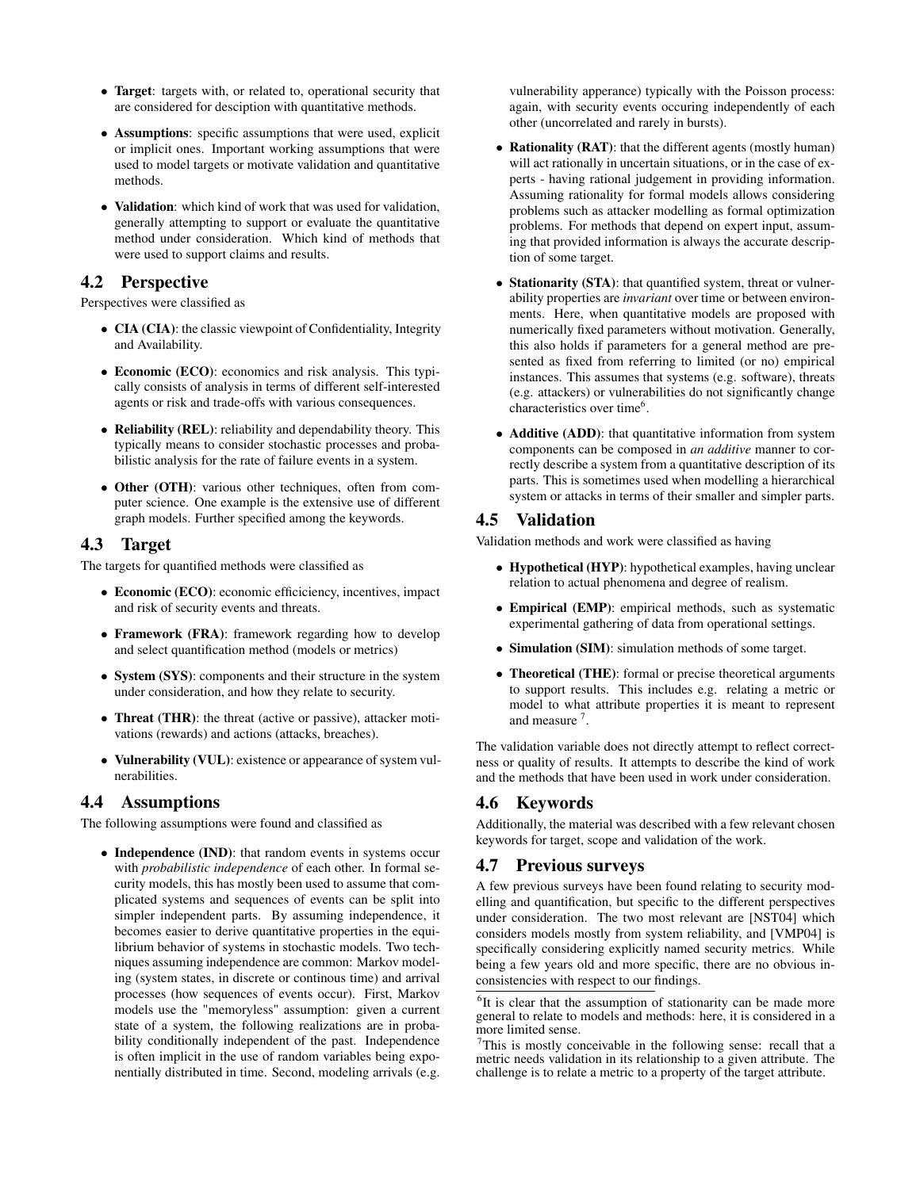- Target: targets with, or related to, operational security that are considered for desciption with quantitative methods.
- Assumptions: specific assumptions that were used, explicit or implicit ones. Important working assumptions that were used to model targets or motivate validation and quantitative methods.
- Validation: which kind of work that was used for validation, generally attempting to support or evaluate the quantitative method under consideration. Which kind of methods that were used to support claims and results.

### 4.2 Perspective

Perspectives were classified as

- CIA (CIA): the classic viewpoint of Confidentiality, Integrity and Availability.
- Economic (ECO): economics and risk analysis. This typically consists of analysis in terms of different self-interested agents or risk and trade-offs with various consequences.
- Reliability (REL): reliability and dependability theory. This typically means to consider stochastic processes and probabilistic analysis for the rate of failure events in a system.
- Other (OTH): various other techniques, often from computer science. One example is the extensive use of different graph models. Further specified among the keywords.

#### 4.3 Target

The targets for quantified methods were classified as

- Economic (ECO): economic efficiciency, incentives, impact and risk of security events and threats.
- Framework (FRA): framework regarding how to develop and select quantification method (models or metrics)
- System (SYS): components and their structure in the system under consideration, and how they relate to security.
- Threat (THR): the threat (active or passive), attacker motivations (rewards) and actions (attacks, breaches).
- Vulnerability (VUL): existence or appearance of system vulnerabilities.

#### 4.4 Assumptions

The following assumptions were found and classified as

• Independence (IND): that random events in systems occur with *probabilistic independence* of each other. In formal security models, this has mostly been used to assume that complicated systems and sequences of events can be split into simpler independent parts. By assuming independence, it becomes easier to derive quantitative properties in the equilibrium behavior of systems in stochastic models. Two techniques assuming independence are common: Markov modeling (system states, in discrete or continous time) and arrival processes (how sequences of events occur). First, Markov models use the "memoryless" assumption: given a current state of a system, the following realizations are in probability conditionally independent of the past. Independence is often implicit in the use of random variables being exponentially distributed in time. Second, modeling arrivals (e.g.

vulnerability apperance) typically with the Poisson process: again, with security events occuring independently of each other (uncorrelated and rarely in bursts).

- Rationality (RAT): that the different agents (mostly human) will act rationally in uncertain situations, or in the case of experts - having rational judgement in providing information. Assuming rationality for formal models allows considering problems such as attacker modelling as formal optimization problems. For methods that depend on expert input, assuming that provided information is always the accurate description of some target.
- Stationarity (STA): that quantified system, threat or vulnerability properties are *invariant* over time or between environments. Here, when quantitative models are proposed with numerically fixed parameters without motivation. Generally, this also holds if parameters for a general method are presented as fixed from referring to limited (or no) empirical instances. This assumes that systems (e.g. software), threats (e.g. attackers) or vulnerabilities do not significantly change characteristics over time<sup>6</sup>.
- Additive (ADD): that quantitative information from system components can be composed in *an additive* manner to correctly describe a system from a quantitative description of its parts. This is sometimes used when modelling a hierarchical system or attacks in terms of their smaller and simpler parts.

## 4.5 Validation

Validation methods and work were classified as having

- Hypothetical (HYP): hypothetical examples, having unclear relation to actual phenomena and degree of realism.
- Empirical (EMP): empirical methods, such as systematic experimental gathering of data from operational settings.
- Simulation (SIM): simulation methods of some target.
- Theoretical (THE): formal or precise theoretical arguments to support results. This includes e.g. relating a metric or model to what attribute properties it is meant to represent and measure<sup>7</sup>.

The validation variable does not directly attempt to reflect correctness or quality of results. It attempts to describe the kind of work and the methods that have been used in work under consideration.

## 4.6 Keywords

Additionally, the material was described with a few relevant chosen keywords for target, scope and validation of the work.

#### 4.7 Previous surveys

A few previous surveys have been found relating to security modelling and quantification, but specific to the different perspectives under consideration. The two most relevant are [NST04] which considers models mostly from system reliability, and [VMP04] is specifically considering explicitly named security metrics. While being a few years old and more specific, there are no obvious inconsistencies with respect to our findings.

<sup>&</sup>lt;sup>6</sup>It is clear that the assumption of stationarity can be made more general to relate to models and methods: here, it is considered in a more limited sense.

 $7$ This is mostly conceivable in the following sense: recall that a metric needs validation in its relationship to a given attribute. The challenge is to relate a metric to a property of the target attribute.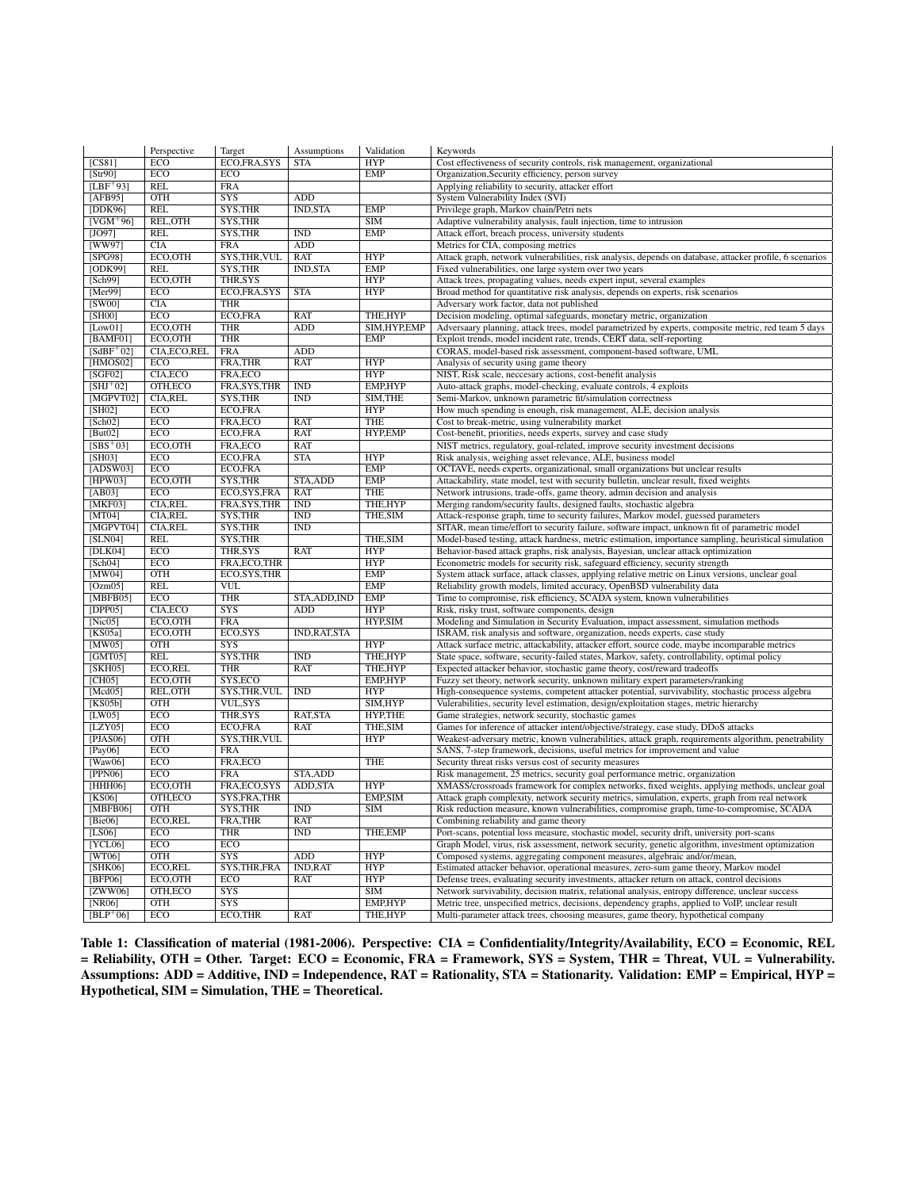|                      | Perspective       | Target                      | Assumptions             | Validation                 | Keywords                                                                                                                                                                                          |
|----------------------|-------------------|-----------------------------|-------------------------|----------------------------|---------------------------------------------------------------------------------------------------------------------------------------------------------------------------------------------------|
| [CS81]               | <b>ECO</b>        | ECO,FRA,SYS                 | <b>STA</b>              | <b>HYP</b>                 | Cost effectiveness of security controls, risk management, organizational                                                                                                                          |
| [Str90]              | ECO               | ECO                         |                         | EMP                        | Organization, Security efficiency, person survey                                                                                                                                                  |
| $ILBF+931$           | <b>REL</b>        | <b>FRA</b>                  |                         |                            | Applying reliability to security, attacker effort                                                                                                                                                 |
| [AFB95]              | <b>OTH</b>        | S <sub>YS</sub>             | ADD                     |                            | System Vulnerability Index (SVI)                                                                                                                                                                  |
| [DDK96]              | <b>REL</b>        | SYS, THR                    | <b>IND, STA</b>         | <b>EMP</b>                 | Privilege graph, Markov chain/Petri nets                                                                                                                                                          |
| $[VGM+96]$           | REL, OTH          | SYS, THR                    |                         | <b>SIM</b>                 | Adaptive vulnerability analysis, fault injection, time to intrusion                                                                                                                               |
| [JO97]               | <b>REL</b>        | SYS, THR                    | $\overline{\text{IND}}$ | EMP                        | Attack effort, breach process, university students                                                                                                                                                |
| [WW97]               | CLA               | <b>FRA</b>                  | ADD                     |                            | Metrics for CIA, composing metrics                                                                                                                                                                |
| [SPG98]              | ECO, OTH          | SYS, THR, VUL               | <b>RAT</b>              | <b>HYP</b>                 | Attack graph, network vulnerabilities, risk analysis, depends on database, attacker profile, 6 scenarios                                                                                          |
| [ODK99]              | <b>REL</b>        | SYS, THR                    | <b>IND, STA</b>         | <b>EMP</b>                 | Fixed vulnerabilities, one large system over two years                                                                                                                                            |
| [Sch99]              | ECO.OTH           | <b>THR.SYS</b>              |                         | <b>HYP</b>                 | Attack trees, propagating values, needs expert input, several examples                                                                                                                            |
| [Mer99]              | ECO<br>CIA        | ECO,FRA,SYS<br><b>THR</b>   | <b>STA</b>              | <b>HYP</b>                 | Broad method for quantitative risk analysis, depends on experts, risk scenarios                                                                                                                   |
| [SW00]<br>[SH00]     | <b>ECO</b>        | ECO,FRA                     | <b>RAT</b>              | THE, HYP                   | Adversary work factor, data not published                                                                                                                                                         |
| [Low01]              | ECO.OTH           | <b>THR</b>                  | ADD                     | SIM.HYP.EMP                | Decision modeling, optimal safeguards, monetary metric, organization<br>Adversaary planning, attack trees, model parametrized by experts, composite metric, red team 5 days                       |
| [BAMFO1]             | ECO, OTH          | <b>THR</b>                  |                         | <b>EMP</b>                 | Exploit trends, model incident rate, trends, CERT data, self-reporting                                                                                                                            |
| $[SdBF^+02]$         | CIA, ECO, REL     | <b>FRA</b>                  | <b>ADD</b>              |                            | CORAS, model-based risk assessment, component-based software, UML                                                                                                                                 |
| [HMOS02]             | <b>ECO</b>        | FRA, THR                    | <b>RAT</b>              | <b>HYP</b>                 | Analysis of security using game theory                                                                                                                                                            |
| [SGF02]              | CIA, ECO          | FRA, ECO                    |                         | <b>HYP</b>                 | NIST, Risk scale, neccesary actions, cost-benefit analysis                                                                                                                                        |
| $[SHJ+02]$           | OTH.ECO           | FRA, SYS, THR               | <b>IND</b>              | <b>EMP.HYP</b>             | Auto-attack graphs, model-checking, evaluate controls, 4 exploits                                                                                                                                 |
| [MGPVTO2]            | <b>CIA,REL</b>    | SYS, THR                    | $\overline{\text{IND}}$ | SIM, THE                   | Semi-Markov, unknown parametric fit/simulation correctness                                                                                                                                        |
| [SH02]               | ECO               | ECO,FRA                     |                         | <b>HYP</b>                 | How much spending is enough, risk management, ALE, decision analysis                                                                                                                              |
| [Sch02]              | ECO               | FRA, ECO                    | RAT                     | <b>THE</b>                 | Cost to break-metric, using vulnerability market                                                                                                                                                  |
| But02                | ECO               | ECO,FRA                     | <b>RAT</b>              | <b>HYP,EMP</b>             | Cost-benefit, priorities, needs experts, survey and case study                                                                                                                                    |
| $[SBS+03]$           | ECO, OTH          | FRA, ECO                    | <b>RAT</b>              |                            | NIST metrics, regulatory, goal-related, improve security investment decisions                                                                                                                     |
| [SH03]               | ECO               | ECO,FRA                     | <b>STA</b>              | <b>HYP</b>                 | Risk analysis, weighing asset relevance, ALE, business model                                                                                                                                      |
| [ADSW03]             | ECO               | ECO,FRA                     |                         | <b>EMP</b>                 | OCTAVE, needs experts, organizational, small organizations but unclear results                                                                                                                    |
| [HPW03]              | ECO, OTH          | SYS, THR                    | STA, ADD                | <b>EMP</b>                 | Attackability, state model, test with security bulletin, unclear result, fixed weights                                                                                                            |
| [AB03]               | ECO               | ECO, SYS, FRA               | <b>RAT</b>              | <b>THE</b>                 | Network intrusions, trade-offs, game theory, admin decision and analysis                                                                                                                          |
| [MKF03]              | <b>CIA,REL</b>    | FRA, SYS, THR               | <b>IND</b>              | THE, HYP                   | Merging random/security faults, designed faults, stochastic algebra                                                                                                                               |
| [MT04]               | <b>CIA,REL</b>    | SYS, THR                    | <b>IND</b>              | THE, SIM                   | Attack-response graph, time to security failures, Markov model, guessed parameters                                                                                                                |
| [MGPVT04]            | <b>CIA,REL</b>    | SYS, THR                    | IND                     |                            | SITAR, mean time/effort to security failure, software impact, unknown fit of parametric model                                                                                                     |
| [SLN04]              | <b>REL</b>        | SYS, THR                    |                         | THE, SIM                   | Model-based testing, attack hardness, metric estimation, importance sampling, heuristical simulation                                                                                              |
|                      |                   |                             |                         |                            |                                                                                                                                                                                                   |
| [DLK04]              | <b>ECO</b>        | THR, SYS                    | RAT                     | <b>HYP</b>                 | Behavior-based attack graphs, risk analysis, Bayesian, unclear attack optimization                                                                                                                |
| [Sch04]              | ECO               | FRA, ECO, THR               |                         | <b>HYP</b>                 | Econometric models for security risk, safeguard efficiency, security strength                                                                                                                     |
| [MW04]               | OTH               | ECO, SYS, THR               |                         | <b>EMP</b>                 | System attack surface, attack classes, applying relative metric on Linux versions, unclear goal                                                                                                   |
| $\sqrt{OzmO5}$       | <b>REL</b>        | $\overline{\text{VUL}}$     |                         | EMP                        | Reliability growth models, limited accuracy, OpenBSD vulnerability data                                                                                                                           |
| [MBFB05]             | <b>ECO</b>        | <b>THR</b>                  | STA, ADD, IND           | <b>EMP</b>                 | Time to compromise, risk efficiency, SCADA system, known vulnerabilities                                                                                                                          |
| [DPP05]              | CIA, ECO          | <b>SYS</b>                  | <b>ADD</b>              | <b>HYP</b>                 | Risk, risky trust, software components, design                                                                                                                                                    |
| [Nic05]              | ECO, OTH          | <b>FRA</b>                  |                         | HYP, SIM                   | Modeling and Simulation in Security Evaluation, impact assessment, simulation methods                                                                                                             |
| KSO5a                | ECO.OTH           | ECO, SYS                    | <b>IND, RAT, STA</b>    |                            | ISRAM, risk analysis and software, organization, needs experts, case study                                                                                                                        |
| [MW05]               | <b>OTH</b>        | SYS                         |                         | <b>HYP</b>                 | Attack surface metric, attackability, attacker effort, source code, maybe incomparable metrics                                                                                                    |
| [GMT05]              | <b>REL</b>        | SYS, THR                    | $\overline{\text{IND}}$ | THE, HYP                   | State space, software, security-failed states, Markov, safety, controllability, optimal policy                                                                                                    |
| [SKH05]              | ECO,REL           | <b>THR</b>                  | <b>RAT</b>              | THE.HYP                    | Expected attacker behavior, stochastic game theory, cost/reward tradeoffs                                                                                                                         |
| [CH05]               | ECO.OTH           | SYS, ECO                    |                         | EMP,HYP                    | Fuzzy set theory, network security, unknown military expert parameters/ranking                                                                                                                    |
| [Med05]              | REL, OTH          | SYS, THR, VUL               | <b>IND</b>              | <b>HYP</b>                 | High-consequence systems, competent attacker potential, survivability, stochastic process algebra                                                                                                 |
| [KS05b]              | <b>OTH</b>        | VUL, SYS                    |                         | SIM, HYP                   | Vulerabilities, security level estimation, design/exploitation stages, metric hierarchy                                                                                                           |
| [LW05]               | ECO               | THR, SYS                    | RAT, STA                | HYP, THE                   | Game strategies, network security, stochastic games                                                                                                                                               |
| [LZY05]              | ECO               | ECO,FRA                     | RAT                     | THE, SIM                   | Games for inference of attacker intent/objective/strategy, case study, DDoS attacks                                                                                                               |
| [PIAS06]             | <b>OTH</b>        | SYS, THR, VUL               |                         | <b>HYP</b>                 | Weakest-adversary metric, known vulnerabilities, attack graph, requirements algorithm, penetrability                                                                                              |
| [Pay06]              | ECO               | <b>FRA</b>                  |                         |                            | SANS, 7-step framework, decisions, useful metrics for improvement and value                                                                                                                       |
| [Waw06]              | ECO               | FRA, ECO                    |                         | THE                        | Security threat risks versus cost of security measures                                                                                                                                            |
| [PPN06]<br>[HHH06]   | ECO<br>ECO, OTH   | <b>FRA</b><br>FRA, ECO, SYS | STA, ADD<br>ADD, STA    | <b>HYP</b>                 | Risk management, 25 metrics, security goal performance metric, organization                                                                                                                       |
| [KS06]               | OTH, ECO          | SYS, FRA, THR               |                         | EMP, SIM                   | XMASS/crossroads framework for complex networks, fixed weights, applying methods, unclear goal<br>Attack graph complexity, network security metrics, simulation, experts, graph from real network |
| [MBFB06]             | <b>OTH</b>        | <b>SYS,THR</b>              | <b>IND</b>              | <b>SIM</b>                 | Risk reduction measure, known vulnerabilities, compromise graph, time-to-compromise, SCADA                                                                                                        |
| [Bie06]              | <b>ECO,REL</b>    | FRA,THR                     | <b>RAT</b>              |                            | Combining reliability and game theory                                                                                                                                                             |
| [LS06]               | ECO               | <b>THR</b>                  | $\overline{\text{IND}}$ | THE, EMP                   | Port-scans, potential loss measure, stochastic model, security drift, university port-scans                                                                                                       |
| [YCL06]              | ECO               | ECO                         |                         |                            | Graph Model, virus, risk assessment, network security, genetic algorithm, investment optimization                                                                                                 |
| [WT06]               | <b>OTH</b>        | <b>SYS</b>                  | <b>ADD</b>              | <b>HYP</b>                 | Composed systems, aggregating component measures, algebraic and/or/mean,                                                                                                                          |
| [SHK06]              | ECO,REL           | SYS, THR, FRA               | <b>IND,RAT</b>          | <b>HYP</b>                 | Estimated attacker behavior, operational measures, zero-sum game theory, Markov model                                                                                                             |
| [BFPO6]              | ECO, OTH          | ECO                         | <b>RAT</b>              | <b>HYP</b>                 | Defense trees, evaluating security investments, attacker return on attack, control decisions                                                                                                      |
| [ZWW06]              | OTH, ECO          | SYS                         |                         | <b>SIM</b>                 | Network survivability, decision matrix, relational analysis, entropy difference, unclear success                                                                                                  |
| [NR06]<br>$[BLP+06]$ | <b>OTH</b><br>ECO | <b>SYS</b><br>ECO,THR       | <b>RAT</b>              | <b>EMP,HYP</b><br>THE, HYP | Metric tree, unspecified metrics, decisions, dependency graphs, applied to VoIP, unclear result<br>Multi-parameter attack trees, choosing measures, game theory, hypothetical company             |

Table 1: Classification of material (1981-2006). Perspective: CIA = Confidentiality/Integrity/Availability, ECO = Economic, REL = Reliability, OTH = Other. Target: ECO = Economic, FRA = Framework, SYS = System, THR = Threat, VUL = Vulnerability. Assumptions: ADD = Additive, IND = Independence, RAT = Rationality, STA = Stationarity. Validation: EMP = Empirical, HYP = Hypothetical, SIM = Simulation, THE = Theoretical.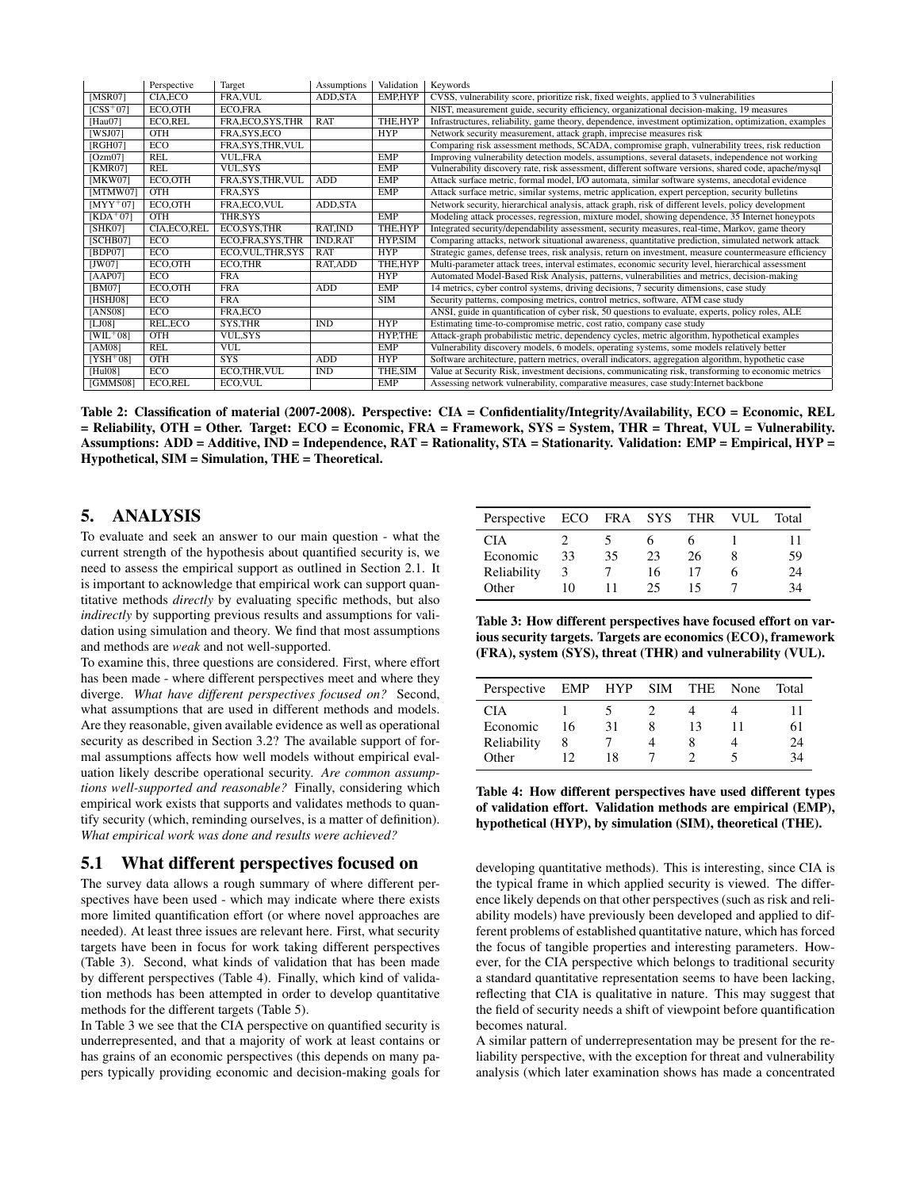|                     | Perspective    | Target             | Assumptions    | Validation | Keywords                                                                                               |
|---------------------|----------------|--------------------|----------------|------------|--------------------------------------------------------------------------------------------------------|
| [MSR07]             | CIA, ECO       | FRA, VUL           | ADD, STA       | EMP,HYP    | CVSS, vulnerability score, prioritize risk, fixed weights, applied to 3 vulnerabilities                |
| $\textsf{ICSS}^+07$ | ECO.OTH        | <b>ECO.FRA</b>     |                |            | NIST, measurement guide, security efficiency, organizational decision-making, 19 measures              |
| [Hau07]             | <b>ECO,REL</b> | FRA, ECO, SYS, THR | RAT            | THE.HYP    | Infrastructures, reliability, game theory, dependence, investment optimization, optimization, examples |
| [WSJ07]             | <b>OTH</b>     | FRA, SYS, ECO      |                | <b>HYP</b> | Network security measurement, attack graph, imprecise measures risk                                    |
| [RGH07]             | <b>ECO</b>     | FRA, SYS, THR, VUL |                |            | Comparing risk assessment methods, SCADA, compromise graph, vulnerability trees, risk reduction        |
| [Ozm07]             | REL            | <b>VUL,FRA</b>     |                | <b>EMP</b> | Improving vulnerability detection models, assumptions, several datasets, independence not working      |
| [KMR07]             | REL            | <b>VUL.SYS</b>     |                | <b>EMP</b> | Vulnerability discovery rate, risk assessment, different software versions, shared code, apache/mysql  |
| [MKW07]             | ECO, OTH       | FRA, SYS, THR, VUL | ADD            | <b>EMP</b> | Attack surface metric, formal model, I/O automata, similar software systems, anecdotal evidence        |
| [MTMW07]            | OTH            | FRA, SYS           |                | <b>EMP</b> | Attack surface metric, similar systems, metric application, expert perception, security bulletins      |
| $[MYY^+07]$         | ECO, OTH       | FRA, ECO, VUL      | ADD, STA       |            | Network security, hierarchical analysis, attack graph, risk of different levels, policy development    |
| $[KDA+07]$          | <b>OTH</b>     | THR,SYS            |                | EMP        | Modeling attack processes, regression, mixture model, showing dependence, 35 Internet honeypots        |
| [SHK07]             | CIA, ECO, REL  | ECO, SYS, THR      | RAT, IND       | THE, HYP   | Integrated security/dependability assessment, security measures, real-time, Markov, game theory        |
| [SCHB07]            | ECO.           | ECO, FRA, SYS, THR | <b>IND,RAT</b> | HYP, SIM   | Comparing attacks, network situational awareness, quantitative prediction, simulated network attack    |
| [BDP07]             | <b>ECO</b>     | ECO, VUL, THR, SYS | <b>RAT</b>     | <b>HYP</b> | Strategic games, defense trees, risk analysis, return on investment, measure countermeasure efficiency |
| JW07                | ECO, OTH       | ECO,THR            | RAT, ADD       | THE, HYP   | Multi-parameter attack trees, interval estimates, economic security level, hierarchical assessment     |
| [AAP07]             | <b>ECO</b>     | <b>FRA</b>         |                | <b>HYP</b> | Automated Model-Based Risk Analysis, patterns, vulnerabilities and metrics, decision-making            |
| [BM07]              | ECO, OTH       | <b>FRA</b>         | ADD            | <b>EMP</b> | 14 metrics, cyber control systems, driving decisions, 7 security dimensions, case study                |
| [HSHJ08]            | <b>ECO</b>     | <b>FRA</b>         |                | SIM        | Security patterns, composing metrics, control metrics, software, ATM case study                        |
| [ANS08]             | <b>ECO</b>     | FRA, ECO           |                |            | ANSI, guide in quantification of cyber risk, 50 questions to evaluate, experts, policy roles, ALE      |
| [LJ08]              | REL, ECO       | SYS, THR           | IND            | <b>HYP</b> | Estimating time-to-compromise metric, cost ratio, company case study                                   |
| $[WIL + 08]$        | <b>OTH</b>     | <b>VUL,SYS</b>     |                | HYP,THE    | Attack-graph probabilistic metric, dependency cycles, metric algorithm, hypothetical examples          |
| [AM08]              | REL            | <b>VUL</b>         |                | <b>EMP</b> | Vulnerability discovery models, 6 models, operating systems, some models relatively better             |
| $[YSH+08]$          | <b>OTH</b>     | <b>SYS</b>         | ADD            | <b>HYP</b> | Software architecture, pattern metrics, overall indicators, aggregation algorithm, hypothetic case     |
| [Hul08]             | <b>ECO</b>     | ECO,THR, VUL       | <b>IND</b>     | THE, SIM   | Value at Security Risk, investment decisions, communicating risk, transforming to economic metrics     |
| [GMMS08]            | <b>ECO,REL</b> | ECO, VUL           |                | <b>EMP</b> | Assessing network vulnerability, comparative measures, case study: Internet backbone                   |

Table 2: Classification of material (2007-2008). Perspective: CIA = Confidentiality/Integrity/Availability, ECO = Economic, REL = Reliability, OTH = Other. Target: ECO = Economic, FRA = Framework, SYS = System, THR = Threat, VUL = Vulnerability. Assumptions: ADD = Additive, IND = Independence, RAT = Rationality, STA = Stationarity. Validation: EMP = Empirical, HYP = Hypothetical, SIM = Simulation, THE = Theoretical.

### 5. ANALYSIS

To evaluate and seek an answer to our main question - what the current strength of the hypothesis about quantified security is, we need to assess the empirical support as outlined in Section 2.1. It is important to acknowledge that empirical work can support quantitative methods *directly* by evaluating specific methods, but also *indirectly* by supporting previous results and assumptions for validation using simulation and theory. We find that most assumptions and methods are *weak* and not well-supported.

To examine this, three questions are considered. First, where effort has been made - where different perspectives meet and where they diverge. *What have different perspectives focused on?* Second, what assumptions that are used in different methods and models. Are they reasonable, given available evidence as well as operational security as described in Section 3.2? The available support of formal assumptions affects how well models without empirical evaluation likely describe operational security. *Are common assumptions well-supported and reasonable?* Finally, considering which empirical work exists that supports and validates methods to quantify security (which, reminding ourselves, is a matter of definition). *What empirical work was done and results were achieved?*

#### 5.1 What different perspectives focused on

The survey data allows a rough summary of where different perspectives have been used - which may indicate where there exists more limited quantification effort (or where novel approaches are needed). At least three issues are relevant here. First, what security targets have been in focus for work taking different perspectives (Table 3). Second, what kinds of validation that has been made by different perspectives (Table 4). Finally, which kind of validation methods has been attempted in order to develop quantitative methods for the different targets (Table 5).

In Table 3 we see that the CIA perspective on quantified security is underrepresented, and that a majority of work at least contains or has grains of an economic perspectives (this depends on many papers typically providing economic and decision-making goals for

| Perspective | ECO FRA SYS |    |    | THR | VUL. | Total |
|-------------|-------------|----|----|-----|------|-------|
| <b>CIA</b>  |             |    |    |     |      |       |
| Economic    | 33          | 35 | 23 | 26  |      | 59    |
| Reliability | 3           |    | 16 |     |      | 24    |
| Other       | 10          |    | 25 |     |      | 34    |

Table 3: How different perspectives have focused effort on various security targets. Targets are economics (ECO), framework (FRA), system (SYS), threat (THR) and vulnerability (VUL).

| Perspective | EMP HYP SIM |    | THE | None | Total |
|-------------|-------------|----|-----|------|-------|
| <b>CIA</b>  |             |    |     |      |       |
| Economic    | 16          | 31 | 13  | 11   | 61    |
| Reliability | 8           |    |     |      | 24    |
| Other       | 12          | 18 |     |      | 34    |

Table 4: How different perspectives have used different types of validation effort. Validation methods are empirical (EMP), hypothetical (HYP), by simulation (SIM), theoretical (THE).

developing quantitative methods). This is interesting, since CIA is the typical frame in which applied security is viewed. The difference likely depends on that other perspectives (such as risk and reliability models) have previously been developed and applied to different problems of established quantitative nature, which has forced the focus of tangible properties and interesting parameters. However, for the CIA perspective which belongs to traditional security a standard quantitative representation seems to have been lacking, reflecting that CIA is qualitative in nature. This may suggest that the field of security needs a shift of viewpoint before quantification becomes natural.

A similar pattern of underrepresentation may be present for the reliability perspective, with the exception for threat and vulnerability analysis (which later examination shows has made a concentrated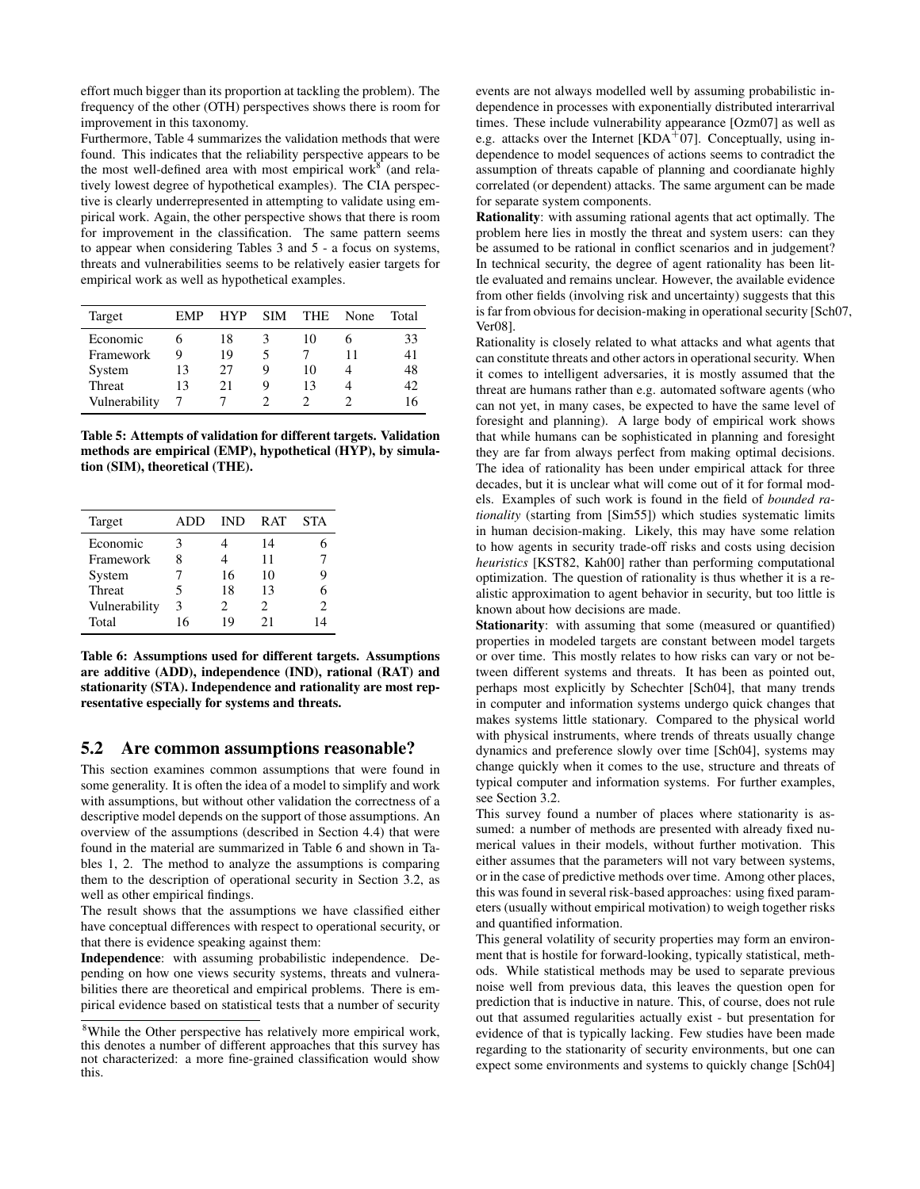effort much bigger than its proportion at tackling the problem). The frequency of the other (OTH) perspectives shows there is room for improvement in this taxonomy.

Furthermore, Table 4 summarizes the validation methods that were found. This indicates that the reliability perspective appears to be the most well-defined area with most empirical work $8^8$  (and relatively lowest degree of hypothetical examples). The CIA perspective is clearly underrepresented in attempting to validate using empirical work. Again, the other perspective shows that there is room for improvement in the classification. The same pattern seems to appear when considering Tables 3 and 5 - a focus on systems, threats and vulnerabilities seems to be relatively easier targets for empirical work as well as hypothetical examples.

| Target        | <b>EMP</b> | <b>HYP</b> | <b>SIM</b> | <b>THE</b> | None | Total |
|---------------|------------|------------|------------|------------|------|-------|
| Economic      |            | 18         | 3          | 10         |      | 33    |
| Framework     | 9          | 19         | 5          |            |      | 41    |
| System        | 13         | 27         | 9          | 10         |      | 48    |
| Threat        | 13         | 21         | 9          | 13         |      | 42    |
| Vulnerability |            |            |            |            |      | 16    |

Table 5: Attempts of validation for different targets. Validation methods are empirical (EMP), hypothetical (HYP), by simulation (SIM), theoretical (THE).

| Target        | ADD. | <b>IND</b>            | R AT | <b>STA</b>                  |
|---------------|------|-----------------------|------|-----------------------------|
| Economic      | 3    |                       | 14   |                             |
| Framework     | 8    |                       | 11   |                             |
| System        |      | 16                    | 10   | 9                           |
| Threat        | 5    | 18                    | 13   | 6                           |
| Vulnerability | 3    | $\mathcal{D}_{\cdot}$ | 2.   | $\mathcal{D}_{\mathcal{A}}$ |
| Total         | 16   | 19                    | 21   | Δ                           |

Table 6: Assumptions used for different targets. Assumptions are additive (ADD), independence (IND), rational (RAT) and stationarity (STA). Independence and rationality are most representative especially for systems and threats.

#### 5.2 Are common assumptions reasonable?

This section examines common assumptions that were found in some generality. It is often the idea of a model to simplify and work with assumptions, but without other validation the correctness of a descriptive model depends on the support of those assumptions. An overview of the assumptions (described in Section 4.4) that were found in the material are summarized in Table 6 and shown in Tables 1, 2. The method to analyze the assumptions is comparing them to the description of operational security in Section 3.2, as well as other empirical findings.

The result shows that the assumptions we have classified either have conceptual differences with respect to operational security, or that there is evidence speaking against them:

Independence: with assuming probabilistic independence. Depending on how one views security systems, threats and vulnerabilities there are theoretical and empirical problems. There is empirical evidence based on statistical tests that a number of security events are not always modelled well by assuming probabilistic independence in processes with exponentially distributed interarrival times. These include vulnerability appearance [Ozm07] as well as e.g. attacks over the Internet [KDA<sup>+</sup>07]. Conceptually, using independence to model sequences of actions seems to contradict the assumption of threats capable of planning and coordianate highly correlated (or dependent) attacks. The same argument can be made for separate system components.

Rationality: with assuming rational agents that act optimally. The problem here lies in mostly the threat and system users: can they be assumed to be rational in conflict scenarios and in judgement? In technical security, the degree of agent rationality has been little evaluated and remains unclear. However, the available evidence from other fields (involving risk and uncertainty) suggests that this is far from obvious for decision-making in operational security [Sch07, Ver08].

Rationality is closely related to what attacks and what agents that can constitute threats and other actors in operational security. When it comes to intelligent adversaries, it is mostly assumed that the threat are humans rather than e.g. automated software agents (who can not yet, in many cases, be expected to have the same level of foresight and planning). A large body of empirical work shows that while humans can be sophisticated in planning and foresight they are far from always perfect from making optimal decisions. The idea of rationality has been under empirical attack for three decades, but it is unclear what will come out of it for formal models. Examples of such work is found in the field of *bounded rationality* (starting from [Sim55]) which studies systematic limits in human decision-making. Likely, this may have some relation to how agents in security trade-off risks and costs using decision *heuristics* [KST82, Kah00] rather than performing computational optimization. The question of rationality is thus whether it is a realistic approximation to agent behavior in security, but too little is known about how decisions are made.

Stationarity: with assuming that some (measured or quantified) properties in modeled targets are constant between model targets or over time. This mostly relates to how risks can vary or not between different systems and threats. It has been as pointed out, perhaps most explicitly by Schechter [Sch04], that many trends in computer and information systems undergo quick changes that makes systems little stationary. Compared to the physical world with physical instruments, where trends of threats usually change dynamics and preference slowly over time [Sch04], systems may change quickly when it comes to the use, structure and threats of typical computer and information systems. For further examples, see Section 3.2.

This survey found a number of places where stationarity is assumed: a number of methods are presented with already fixed numerical values in their models, without further motivation. This either assumes that the parameters will not vary between systems, or in the case of predictive methods over time. Among other places, this was found in several risk-based approaches: using fixed parameters (usually without empirical motivation) to weigh together risks and quantified information.

This general volatility of security properties may form an environment that is hostile for forward-looking, typically statistical, methods. While statistical methods may be used to separate previous noise well from previous data, this leaves the question open for prediction that is inductive in nature. This, of course, does not rule out that assumed regularities actually exist - but presentation for evidence of that is typically lacking. Few studies have been made regarding to the stationarity of security environments, but one can expect some environments and systems to quickly change [Sch04]

<sup>8</sup>While the Other perspective has relatively more empirical work, this denotes a number of different approaches that this survey has not characterized: a more fine-grained classification would show this.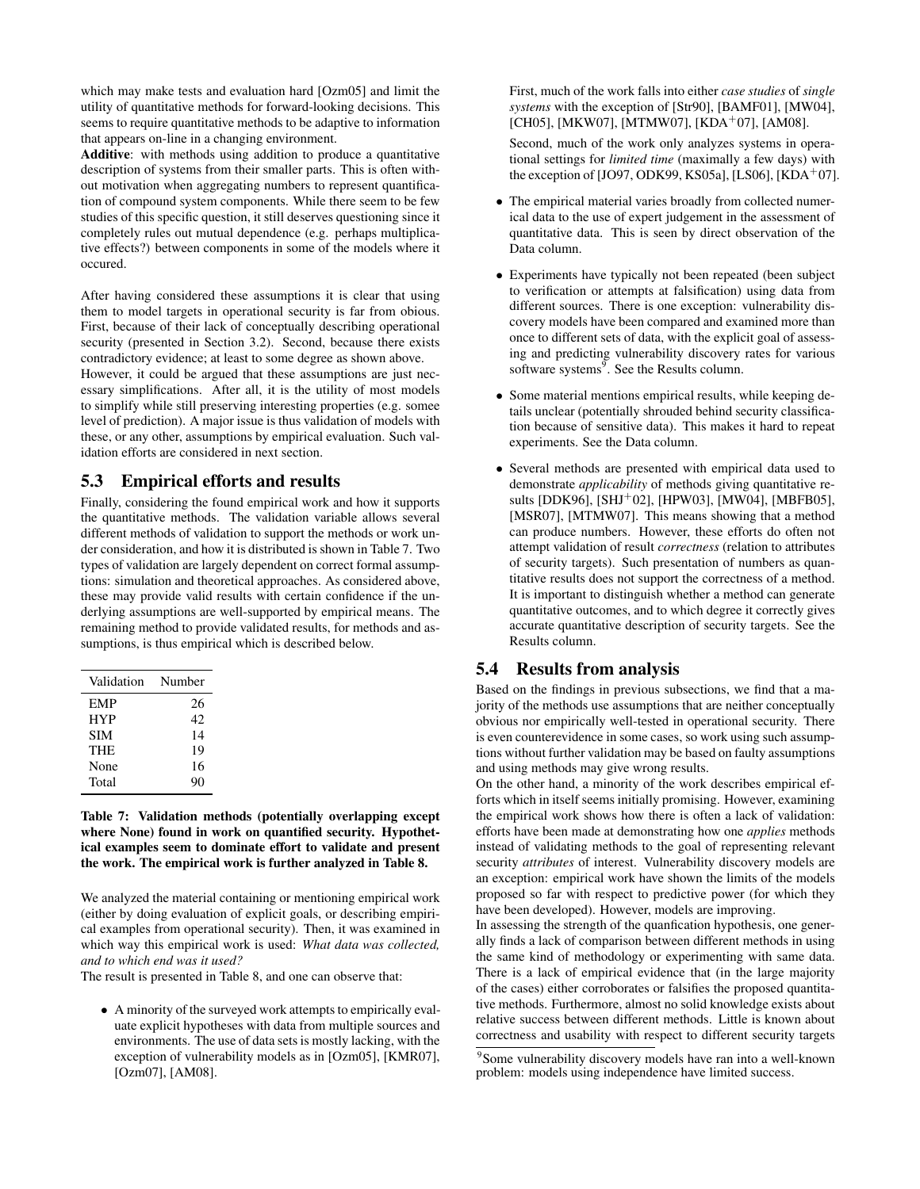which may make tests and evaluation hard [Ozm05] and limit the utility of quantitative methods for forward-looking decisions. This seems to require quantitative methods to be adaptive to information that appears on-line in a changing environment.

Additive: with methods using addition to produce a quantitative description of systems from their smaller parts. This is often without motivation when aggregating numbers to represent quantification of compound system components. While there seem to be few studies of this specific question, it still deserves questioning since it completely rules out mutual dependence (e.g. perhaps multiplicative effects?) between components in some of the models where it occured.

After having considered these assumptions it is clear that using them to model targets in operational security is far from obious. First, because of their lack of conceptually describing operational security (presented in Section 3.2). Second, because there exists contradictory evidence; at least to some degree as shown above.

However, it could be argued that these assumptions are just necessary simplifications. After all, it is the utility of most models to simplify while still preserving interesting properties (e.g. somee level of prediction). A major issue is thus validation of models with these, or any other, assumptions by empirical evaluation. Such validation efforts are considered in next section.

#### 5.3 Empirical efforts and results

Finally, considering the found empirical work and how it supports the quantitative methods. The validation variable allows several different methods of validation to support the methods or work under consideration, and how it is distributed is shown in Table 7. Two types of validation are largely dependent on correct formal assumptions: simulation and theoretical approaches. As considered above, these may provide valid results with certain confidence if the underlying assumptions are well-supported by empirical means. The remaining method to provide validated results, for methods and assumptions, is thus empirical which is described below.

| Validation | Number |
|------------|--------|
| EMP        | 26     |
| <b>HYP</b> | 42     |
| SIM        | 14     |
| THE        | 19     |
| None       | 16     |
| Total      | 90     |

Table 7: Validation methods (potentially overlapping except where None) found in work on quantified security. Hypothetical examples seem to dominate effort to validate and present the work. The empirical work is further analyzed in Table 8.

We analyzed the material containing or mentioning empirical work (either by doing evaluation of explicit goals, or describing empirical examples from operational security). Then, it was examined in which way this empirical work is used: *What data was collected, and to which end was it used?*

The result is presented in Table 8, and one can observe that:

• A minority of the surveyed work attempts to empirically evaluate explicit hypotheses with data from multiple sources and environments. The use of data sets is mostly lacking, with the exception of vulnerability models as in [Ozm05], [KMR07], [Ozm07], [AM08].

First, much of the work falls into either *case studies* of *single systems* with the exception of [Str90], [BAMF01], [MW04], [CH05], [MKW07], [MTMW07], [KDA<sup>+</sup>07], [AM08].

Second, much of the work only analyzes systems in operational settings for *limited time* (maximally a few days) with the exception of  $[JO97, ODK99, KS05a]$ ,  $[LS06]$ ,  $[KDA<sup>+</sup>07]$ .

- The empirical material varies broadly from collected numerical data to the use of expert judgement in the assessment of quantitative data. This is seen by direct observation of the Data column.
- Experiments have typically not been repeated (been subject to verification or attempts at falsification) using data from different sources. There is one exception: vulnerability discovery models have been compared and examined more than once to different sets of data, with the explicit goal of assessing and predicting vulnerability discovery rates for various software systems<sup>9</sup>. See the Results column.
- Some material mentions empirical results, while keeping details unclear (potentially shrouded behind security classification because of sensitive data). This makes it hard to repeat experiments. See the Data column.
- Several methods are presented with empirical data used to demonstrate *applicability* of methods giving quantitative results [DDK96], [SHJ<sup>+</sup>02], [HPW03], [MW04], [MBFB05], [MSR07], [MTMW07]. This means showing that a method can produce numbers. However, these efforts do often not attempt validation of result *correctness* (relation to attributes of security targets). Such presentation of numbers as quantitative results does not support the correctness of a method. It is important to distinguish whether a method can generate quantitative outcomes, and to which degree it correctly gives accurate quantitative description of security targets. See the Results column.

#### 5.4 Results from analysis

Based on the findings in previous subsections, we find that a majority of the methods use assumptions that are neither conceptually obvious nor empirically well-tested in operational security. There is even counterevidence in some cases, so work using such assumptions without further validation may be based on faulty assumptions and using methods may give wrong results.

On the other hand, a minority of the work describes empirical efforts which in itself seems initially promising. However, examining the empirical work shows how there is often a lack of validation: efforts have been made at demonstrating how one *applies* methods instead of validating methods to the goal of representing relevant security *attributes* of interest. Vulnerability discovery models are an exception: empirical work have shown the limits of the models proposed so far with respect to predictive power (for which they have been developed). However, models are improving.

In assessing the strength of the quanfication hypothesis, one generally finds a lack of comparison between different methods in using the same kind of methodology or experimenting with same data. There is a lack of empirical evidence that (in the large majority of the cases) either corroborates or falsifies the proposed quantitative methods. Furthermore, almost no solid knowledge exists about relative success between different methods. Little is known about correctness and usability with respect to different security targets

<sup>9</sup> Some vulnerability discovery models have ran into a well-known problem: models using independence have limited success.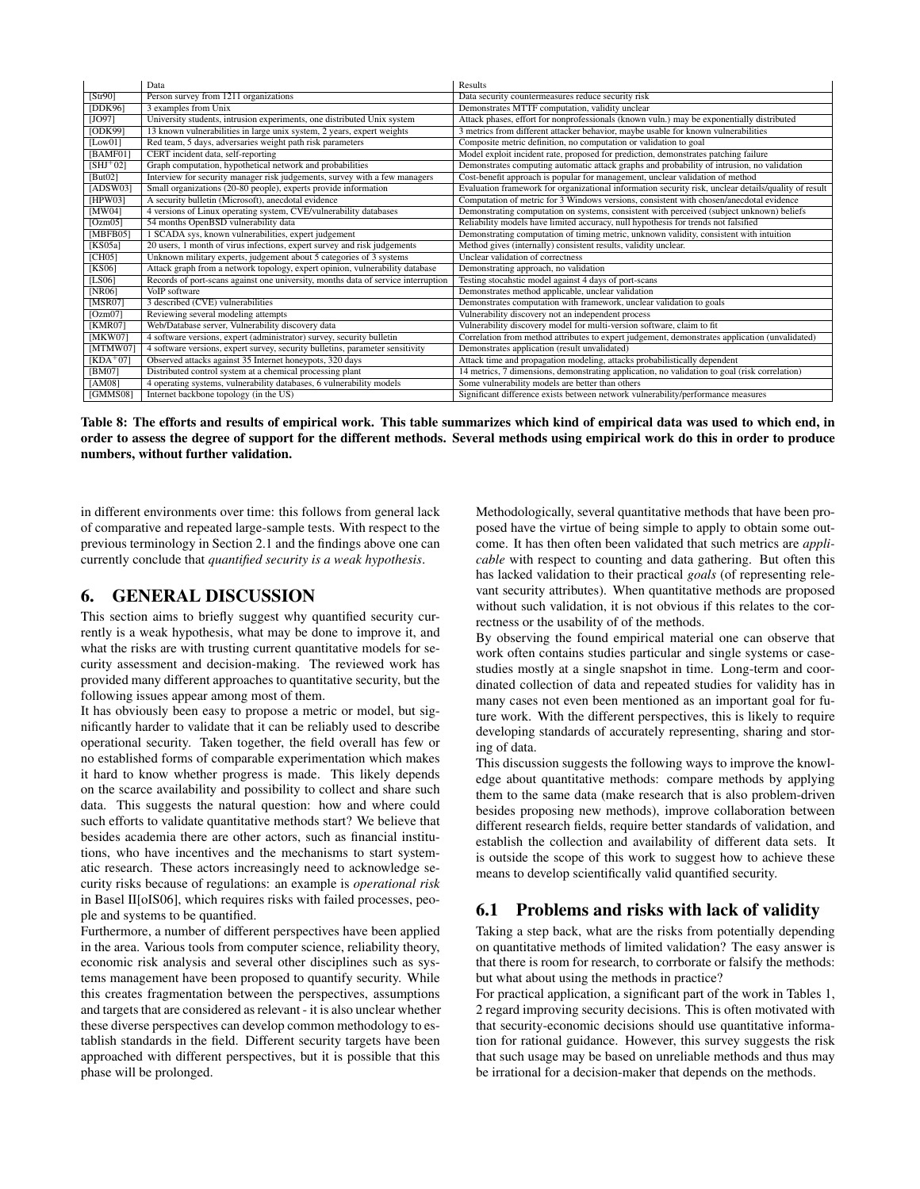|             | Data                                                                              | Results                                                                                              |
|-------------|-----------------------------------------------------------------------------------|------------------------------------------------------------------------------------------------------|
| [Str90]     | Person survey from 1211 organizations                                             | Data security countermeasures reduce security risk                                                   |
| [DDK96]     | 3 examples from Unix                                                              | Demonstrates MTTF computation, validity unclear                                                      |
| [JO97]      | University students, intrusion experiments, one distributed Unix system           | Attack phases, effort for nonprofessionals (known vuln.) may be exponentially distributed            |
| [ODK99]     | 13 known vulnerabilities in large unix system, 2 years, expert weights            | 3 metrics from different attacker behavior, maybe usable for known vulnerabilities                   |
| [Low01]     | Red team, 5 days, adversaries weight path risk parameters                         | Composite metric definition, no computation or validation to goal                                    |
| [BAMF01]    | CERT incident data, self-reporting                                                | Model exploit incident rate, proposed for prediction, demonstrates patching failure                  |
| $[SHJ^+02]$ | Graph computation, hypothetical network and probabilities                         | Demonstrates computing automatic attack graphs and probability of intrusion, no validation           |
| [ $But02$ ] | Interview for security manager risk judgements, survey with a few managers        | Cost-benefit approach is popular for management, unclear validation of method                        |
| [ADSW03]    | Small organizations (20-80 people), experts provide information                   | Evaluation framework for organizational information security risk, unclear details/quality of result |
| [HPW03]     | A security bulletin (Microsoft), anecdotal evidence                               | Computation of metric for 3 Windows versions, consistent with chosen/anecdotal evidence              |
| [MW04]      | 4 versions of Linux operating system, CVE/vulnerability databases                 | Demonstrating computation on systems, consistent with perceived (subject unknown) beliefs            |
| [Ozm05]     | 54 months OpenBSD vulnerability data                                              | Reliability models have limited accuracy, null hypothesis for trends not falsified                   |
| [MBFB05]    | 1 SCADA sys, known vulnerabilities, expert judgement                              | Demonstrating computation of timing metric, unknown validity, consistent with intuition              |
| [KS05a]     | 20 users, 1 month of virus infections, expert survey and risk judgements          | Method gives (internally) consistent results, validity unclear.                                      |
| [CH05]      | Unknown military experts, judgement about 5 categories of 3 systems               | Unclear validation of correctness                                                                    |
| [KS06]      | Attack graph from a network topology, expert opinion, vulnerability database      | Demonstrating approach, no validation                                                                |
| [LS06]      | Records of port-scans against one university, months data of service interruption | Testing stocahstic model against 4 days of port-scans                                                |
| [NR06]      | VoIP software                                                                     | Demonstrates method applicable, unclear validation                                                   |
| [MSR07]     | 3 described (CVE) vulnerabilities                                                 | Demonstrates computation with framework, unclear validation to goals                                 |
| [Ozm07]     | Reviewing several modeling attempts                                               | Vulnerability discovery not an independent process                                                   |
| [KMR07]     | Web/Database server, Vulnerability discovery data                                 | Vulnerability discovery model for multi-version software, claim to fit                               |
| [MKW07]     | 4 software versions, expert (administrator) survey, security bulletin             | Correlation from method attributes to expert judgement, demonstrates application (unvalidated)       |
| [MTMWO7]    | 4 software versions, expert survey, security bulletins, parameter sensitivity     | Demonstrates application (result unvalidated)                                                        |
| $[KDA+07]$  | Observed attacks against 35 Internet honeypots, 320 days                          | Attack time and propagation modeling, attacks probabilistically dependent                            |
| [BM07]      | Distributed control system at a chemical processing plant                         | 14 metrics, 7 dimensions, demonstrating application, no validation to goal (risk correlation)        |
| [AM08]      | 4 operating systems, vulnerability databases, 6 vulnerability models              | Some vulnerability models are better than others                                                     |
| [GMMS08]    | Internet backbone topology (in the US)                                            | Significant difference exists between network vulnerability/performance measures                     |

Table 8: The efforts and results of empirical work. This table summarizes which kind of empirical data was used to which end, in order to assess the degree of support for the different methods. Several methods using empirical work do this in order to produce numbers, without further validation.

in different environments over time: this follows from general lack of comparative and repeated large-sample tests. With respect to the previous terminology in Section 2.1 and the findings above one can currently conclude that *quantified security is a weak hypothesis*.

## 6. GENERAL DISCUSSION

This section aims to briefly suggest why quantified security currently is a weak hypothesis, what may be done to improve it, and what the risks are with trusting current quantitative models for security assessment and decision-making. The reviewed work has provided many different approaches to quantitative security, but the following issues appear among most of them.

It has obviously been easy to propose a metric or model, but significantly harder to validate that it can be reliably used to describe operational security. Taken together, the field overall has few or no established forms of comparable experimentation which makes it hard to know whether progress is made. This likely depends on the scarce availability and possibility to collect and share such data. This suggests the natural question: how and where could such efforts to validate quantitative methods start? We believe that besides academia there are other actors, such as financial institutions, who have incentives and the mechanisms to start systematic research. These actors increasingly need to acknowledge security risks because of regulations: an example is *operational risk* in Basel II[oIS06], which requires risks with failed processes, people and systems to be quantified.

Furthermore, a number of different perspectives have been applied in the area. Various tools from computer science, reliability theory, economic risk analysis and several other disciplines such as systems management have been proposed to quantify security. While this creates fragmentation between the perspectives, assumptions and targets that are considered as relevant - it is also unclear whether these diverse perspectives can develop common methodology to establish standards in the field. Different security targets have been approached with different perspectives, but it is possible that this phase will be prolonged.

Methodologically, several quantitative methods that have been proposed have the virtue of being simple to apply to obtain some outcome. It has then often been validated that such metrics are *applicable* with respect to counting and data gathering. But often this has lacked validation to their practical *goals* (of representing relevant security attributes). When quantitative methods are proposed without such validation, it is not obvious if this relates to the correctness or the usability of of the methods.

By observing the found empirical material one can observe that work often contains studies particular and single systems or casestudies mostly at a single snapshot in time. Long-term and coordinated collection of data and repeated studies for validity has in many cases not even been mentioned as an important goal for future work. With the different perspectives, this is likely to require developing standards of accurately representing, sharing and storing of data.

This discussion suggests the following ways to improve the knowledge about quantitative methods: compare methods by applying them to the same data (make research that is also problem-driven besides proposing new methods), improve collaboration between different research fields, require better standards of validation, and establish the collection and availability of different data sets. It is outside the scope of this work to suggest how to achieve these means to develop scientifically valid quantified security.

# 6.1 Problems and risks with lack of validity

Taking a step back, what are the risks from potentially depending on quantitative methods of limited validation? The easy answer is that there is room for research, to corrborate or falsify the methods: but what about using the methods in practice?

For practical application, a significant part of the work in Tables 1, 2 regard improving security decisions. This is often motivated with that security-economic decisions should use quantitative information for rational guidance. However, this survey suggests the risk that such usage may be based on unreliable methods and thus may be irrational for a decision-maker that depends on the methods.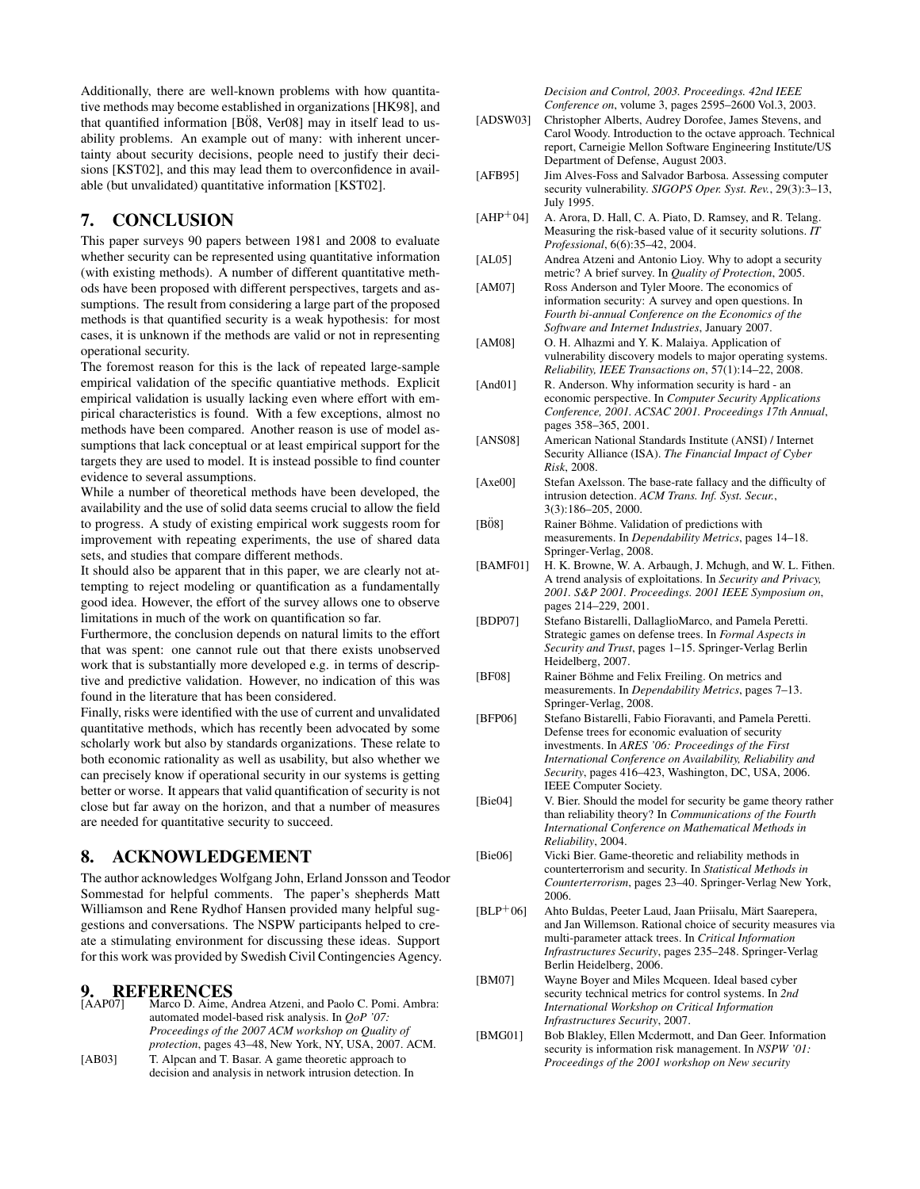Additionally, there are well-known problems with how quantitative methods may become established in organizations [HK98], and that quantified information  $[B\ddot{0}8, \text{Ver}08]$  may in itself lead to usability problems. An example out of many: with inherent uncertainty about security decisions, people need to justify their decisions [KST02], and this may lead them to overconfidence in available (but unvalidated) quantitative information [KST02].

## 7. CONCLUSION

This paper surveys 90 papers between 1981 and 2008 to evaluate whether security can be represented using quantitative information (with existing methods). A number of different quantitative methods have been proposed with different perspectives, targets and assumptions. The result from considering a large part of the proposed methods is that quantified security is a weak hypothesis: for most cases, it is unknown if the methods are valid or not in representing operational security.

The foremost reason for this is the lack of repeated large-sample empirical validation of the specific quantiative methods. Explicit empirical validation is usually lacking even where effort with empirical characteristics is found. With a few exceptions, almost no methods have been compared. Another reason is use of model assumptions that lack conceptual or at least empirical support for the targets they are used to model. It is instead possible to find counter evidence to several assumptions.

While a number of theoretical methods have been developed, the availability and the use of solid data seems crucial to allow the field to progress. A study of existing empirical work suggests room for improvement with repeating experiments, the use of shared data sets, and studies that compare different methods.

It should also be apparent that in this paper, we are clearly not attempting to reject modeling or quantification as a fundamentally good idea. However, the effort of the survey allows one to observe limitations in much of the work on quantification so far.

Furthermore, the conclusion depends on natural limits to the effort that was spent: one cannot rule out that there exists unobserved work that is substantially more developed e.g. in terms of descriptive and predictive validation. However, no indication of this was found in the literature that has been considered.

Finally, risks were identified with the use of current and unvalidated quantitative methods, which has recently been advocated by some scholarly work but also by standards organizations. These relate to both economic rationality as well as usability, but also whether we can precisely know if operational security in our systems is getting better or worse. It appears that valid quantification of security is not close but far away on the horizon, and that a number of measures are needed for quantitative security to succeed.

#### 8. ACKNOWLEDGEMENT

The author acknowledges Wolfgang John, Erland Jonsson and Teodor Sommestad for helpful comments. The paper's shepherds Matt Williamson and Rene Rydhof Hansen provided many helpful suggestions and conversations. The NSPW participants helped to create a stimulating environment for discussing these ideas. Support for this work was provided by Swedish Civil Contingencies Agency.

#### 9. REFERENCES

| <b>[AAP07]</b> | Marco D. Aime, Andrea Atzeni, and Paolo C. Pomi. Ambra:  |
|----------------|----------------------------------------------------------|
|                | automated model-based risk analysis. In <i>OoP</i> '07:  |
|                | Proceedings of the 2007 ACM workshop on Quality of       |
|                | protection, pages 43–48, New York, NY, USA, 2007. ACM.   |
| [AB03]         | T. Alpcan and T. Basar. A game theoretic approach to     |
|                | decision and analysis in network intrusion detection. In |

*Decision and Control, 2003. Proceedings. 42nd IEEE Conference on*, volume 3, pages 2595–2600 Vol.3, 2003.

- [ADSW03] Christopher Alberts, Audrey Dorofee, James Stevens, and Carol Woody. Introduction to the octave approach. Technical report, Carneigie Mellon Software Engineering Institute/US Department of Defense, August 2003.
- [AFB95] Jim Alves-Foss and Salvador Barbosa. Assessing computer security vulnerability. *SIGOPS Oper. Syst. Rev.*, 29(3):3–13, July 1995.
- [AHP+04] A. Arora, D. Hall, C. A. Piato, D. Ramsey, and R. Telang. Measuring the risk-based value of it security solutions. *IT Professional*, 6(6):35–42, 2004.
- [AL05] Andrea Atzeni and Antonio Lioy. Why to adopt a security metric? A brief survey. In *Quality of Protection*, 2005.
- [AM07] Ross Anderson and Tyler Moore. The economics of information security: A survey and open questions. In *Fourth bi-annual Conference on the Economics of the Software and Internet Industries*, January 2007.
- [AM08] O. H. Alhazmi and Y. K. Malaiya. Application of vulnerability discovery models to major operating systems. *Reliability, IEEE Transactions on*, 57(1):14–22, 2008.
- [And01] R. Anderson. Why information security is hard an economic perspective. In *Computer Security Applications Conference, 2001. ACSAC 2001. Proceedings 17th Annual*, pages 358–365, 2001.
- [ANS08] American National Standards Institute (ANSI) / Internet Security Alliance (ISA). *The Financial Impact of Cyber Risk*, 2008.
- [Axe00] Stefan Axelsson. The base-rate fallacy and the difficulty of intrusion detection. *ACM Trans. Inf. Syst. Secur.*, 3(3):186–205, 2000.
- [B08] Rainer Böhme. Validation of predictions with measurements. In *Dependability Metrics*, pages 14–18. Springer-Verlag, 2008.
- [BAMF01] H. K. Browne, W. A. Arbaugh, J. Mchugh, and W. L. Fithen. A trend analysis of exploitations. In *Security and Privacy, 2001. S&P 2001. Proceedings. 2001 IEEE Symposium on*, pages 214–229, 2001.
- [BDP07] Stefano Bistarelli, DallaglioMarco, and Pamela Peretti. Strategic games on defense trees. In *Formal Aspects in Security and Trust*, pages 1–15. Springer-Verlag Berlin Heidelberg, 2007.
- [BF08] Rainer Böhme and Felix Freiling. On metrics and measurements. In *Dependability Metrics*, pages 7–13. Springer-Verlag, 2008.
- [BFP06] Stefano Bistarelli, Fabio Fioravanti, and Pamela Peretti. Defense trees for economic evaluation of security investments. In *ARES '06: Proceedings of the First International Conference on Availability, Reliability and Security*, pages 416–423, Washington, DC, USA, 2006. IEEE Computer Society.
- [Bie04] V. Bier. Should the model for security be game theory rather than reliability theory? In *Communications of the Fourth International Conference on Mathematical Methods in Reliability*, 2004.
- [Bie06] Vicki Bier. Game-theoretic and reliability methods in counterterrorism and security. In *Statistical Methods in Counterterrorism*, pages 23–40. Springer-Verlag New York, 2006.
- [BLP+06] Ahto Buldas, Peeter Laud, Jaan Priisalu, Märt Saarepera, and Jan Willemson. Rational choice of security measures via multi-parameter attack trees. In *Critical Information Infrastructures Security*, pages 235–248. Springer-Verlag Berlin Heidelberg, 2006.
- [BM07] Wayne Boyer and Miles Mcqueen. Ideal based cyber security technical metrics for control systems. In *2nd International Workshop on Critical Information Infrastructures Security*, 2007.
- [BMG01] Bob Blakley, Ellen Mcdermott, and Dan Geer. Information security is information risk management. In *NSPW '01: Proceedings of the 2001 workshop on New security*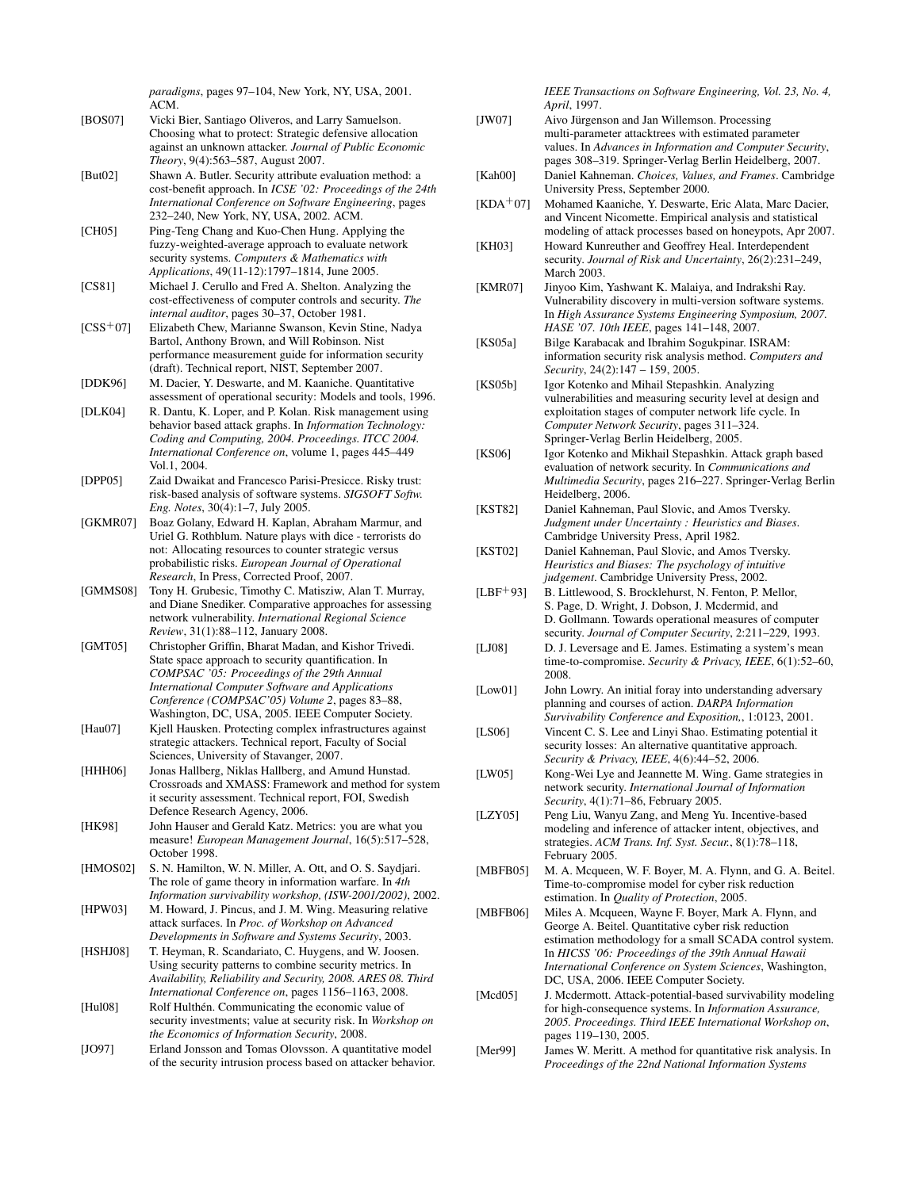*paradigms*, pages 97–104, New York, NY, USA, 2001. ACM.

- [BOS07] Vicki Bier, Santiago Oliveros, and Larry Samuelson. Choosing what to protect: Strategic defensive allocation against an unknown attacker. *Journal of Public Economic Theory*, 9(4):563–587, August 2007.
- [But02] Shawn A. Butler. Security attribute evaluation method: a cost-benefit approach. In *ICSE '02: Proceedings of the 24th International Conference on Software Engineering*, pages 232–240, New York, NY, USA, 2002. ACM.
- [CH05] Ping-Teng Chang and Kuo-Chen Hung. Applying the fuzzy-weighted-average approach to evaluate network security systems. *Computers & Mathematics with Applications*, 49(11-12):1797–1814, June 2005.
- [CS81] Michael J. Cerullo and Fred A. Shelton. Analyzing the cost-effectiveness of computer controls and security. *The internal auditor*, pages 30–37, October 1981.
- [CSS<sup>+</sup>07] Elizabeth Chew, Marianne Swanson, Kevin Stine, Nadya Bartol, Anthony Brown, and Will Robinson. Nist performance measurement guide for information security (draft). Technical report, NIST, September 2007.
- [DDK96] M. Dacier, Y. Deswarte, and M. Kaaniche. Quantitative assessment of operational security: Models and tools, 1996.
- [DLK04] R. Dantu, K. Loper, and P. Kolan. Risk management using behavior based attack graphs. In *Information Technology: Coding and Computing, 2004. Proceedings. ITCC 2004. International Conference on*, volume 1, pages 445–449 Vol.1, 2004.
- [DPP05] Zaid Dwaikat and Francesco Parisi-Presicce. Risky trust: risk-based analysis of software systems. *SIGSOFT Softw. Eng. Notes*, 30(4):1–7, July 2005.
- [GKMR07] Boaz Golany, Edward H. Kaplan, Abraham Marmur, and Uriel G. Rothblum. Nature plays with dice - terrorists do not: Allocating resources to counter strategic versus probabilistic risks. *European Journal of Operational Research*, In Press, Corrected Proof, 2007.
- [GMMS08] Tony H. Grubesic, Timothy C. Matisziw, Alan T. Murray, and Diane Snediker. Comparative approaches for assessing network vulnerability. *International Regional Science Review*, 31(1):88–112, January 2008.
- [GMT05] Christopher Griffin, Bharat Madan, and Kishor Trivedi. State space approach to security quantification. In *COMPSAC '05: Proceedings of the 29th Annual International Computer Software and Applications Conference (COMPSAC'05) Volume 2*, pages 83–88, Washington, DC, USA, 2005. IEEE Computer Society.
- [Hau07] Kjell Hausken. Protecting complex infrastructures against strategic attackers. Technical report, Faculty of Social Sciences, University of Stavanger, 2007.
- [HHH06] Jonas Hallberg, Niklas Hallberg, and Amund Hunstad. Crossroads and XMASS: Framework and method for system it security assessment. Technical report, FOI, Swedish Defence Research Agency, 2006.
- [HK98] John Hauser and Gerald Katz. Metrics: you are what you measure! *European Management Journal*, 16(5):517–528, October 1998.
- [HMOS02] S. N. Hamilton, W. N. Miller, A. Ott, and O. S. Saydjari. The role of game theory in information warfare. In *4th Information survivability workshop, (ISW-2001/2002)*, 2002.
- [HPW03] M. Howard, J. Pincus, and J. M. Wing. Measuring relative attack surfaces. In *Proc. of Workshop on Advanced Developments in Software and Systems Security*, 2003.
- [HSHJ08] T. Heyman, R. Scandariato, C. Huygens, and W. Joosen. Using security patterns to combine security metrics. In *Availability, Reliability and Security, 2008. ARES 08. Third International Conference on*, pages 1156–1163, 2008.
- [Hul08] Rolf Hulthén. Communicating the economic value of security investments; value at security risk. In *Workshop on the Economics of Information Security*, 2008.
- [JO97] Erland Jonsson and Tomas Olovsson. A quantitative model of the security intrusion process based on attacker behavior.

*IEEE Transactions on Software Engineering, Vol. 23, No. 4, April*, 1997.

- [JW07] Aivo Jürgenson and Jan Willemson. Processing multi-parameter attacktrees with estimated parameter values. In *Advances in Information and Computer Security*, pages 308–319. Springer-Verlag Berlin Heidelberg, 2007.
- [Kah00] Daniel Kahneman. *Choices, Values, and Frames*. Cambridge University Press, September 2000.
- [KDA+07] Mohamed Kaaniche, Y. Deswarte, Eric Alata, Marc Dacier, and Vincent Nicomette. Empirical analysis and statistical modeling of attack processes based on honeypots, Apr 2007.
- [KH03] Howard Kunreuther and Geoffrey Heal. Interdependent security. *Journal of Risk and Uncertainty*, 26(2):231–249, March 2003.
- [KMR07] Jinyoo Kim, Yashwant K. Malaiya, and Indrakshi Ray. Vulnerability discovery in multi-version software systems. In *High Assurance Systems Engineering Symposium, 2007. HASE '07. 10th IEEE*, pages 141–148, 2007.
- [KS05a] Bilge Karabacak and Ibrahim Sogukpinar. ISRAM: information security risk analysis method. *Computers and Security*, 24(2):147 – 159, 2005.
- [KS05b] Igor Kotenko and Mihail Stepashkin. Analyzing vulnerabilities and measuring security level at design and exploitation stages of computer network life cycle. In *Computer Network Security*, pages 311–324. Springer-Verlag Berlin Heidelberg, 2005.
- [KS06] Igor Kotenko and Mikhail Stepashkin. Attack graph based evaluation of network security. In *Communications and Multimedia Security*, pages 216–227. Springer-Verlag Berlin Heidelberg, 2006.
- [KST82] Daniel Kahneman, Paul Slovic, and Amos Tversky. *Judgment under Uncertainty : Heuristics and Biases*. Cambridge University Press, April 1982.
- [KST02] Daniel Kahneman, Paul Slovic, and Amos Tversky. *Heuristics and Biases: The psychology of intuitive judgement*. Cambridge University Press, 2002.
- [LBF+93] B. Littlewood, S. Brocklehurst, N. Fenton, P. Mellor, S. Page, D. Wright, J. Dobson, J. Mcdermid, and D. Gollmann. Towards operational measures of computer security. *Journal of Computer Security*, 2:211–229, 1993.
- [LJ08] D. J. Leversage and E. James. Estimating a system's mean time-to-compromise. *Security & Privacy, IEEE*, 6(1):52–60, 2008.
- [Low01] John Lowry. An initial foray into understanding adversary planning and courses of action. *DARPA Information Survivability Conference and Exposition,*, 1:0123, 2001.
- [LS06] Vincent C. S. Lee and Linyi Shao. Estimating potential it security losses: An alternative quantitative approach. *Security & Privacy, IEEE*, 4(6):44–52, 2006.
- [LW05] Kong-Wei Lye and Jeannette M. Wing. Game strategies in network security. *International Journal of Information Security*, 4(1):71–86, February 2005.
- [LZY05] Peng Liu, Wanyu Zang, and Meng Yu. Incentive-based modeling and inference of attacker intent, objectives, and strategies. *ACM Trans. Inf. Syst. Secur.*, 8(1):78–118, February 2005.
- [MBFB05] M. A. Mcqueen, W. F. Boyer, M. A. Flynn, and G. A. Beitel. Time-to-compromise model for cyber risk reduction estimation. In *Quality of Protection*, 2005.
- [MBFB06] Miles A. Mcqueen, Wayne F. Boyer, Mark A. Flynn, and George A. Beitel. Quantitative cyber risk reduction estimation methodology for a small SCADA control system. In *HICSS '06: Proceedings of the 39th Annual Hawaii International Conference on System Sciences*, Washington, DC, USA, 2006. IEEE Computer Society.
- [Mcd05] J. Mcdermott. Attack-potential-based survivability modeling for high-consequence systems. In *Information Assurance, 2005. Proceedings. Third IEEE International Workshop on*, pages 119–130, 2005.
- [Mer99] James W. Meritt. A method for quantitative risk analysis. In *Proceedings of the 22nd National Information Systems*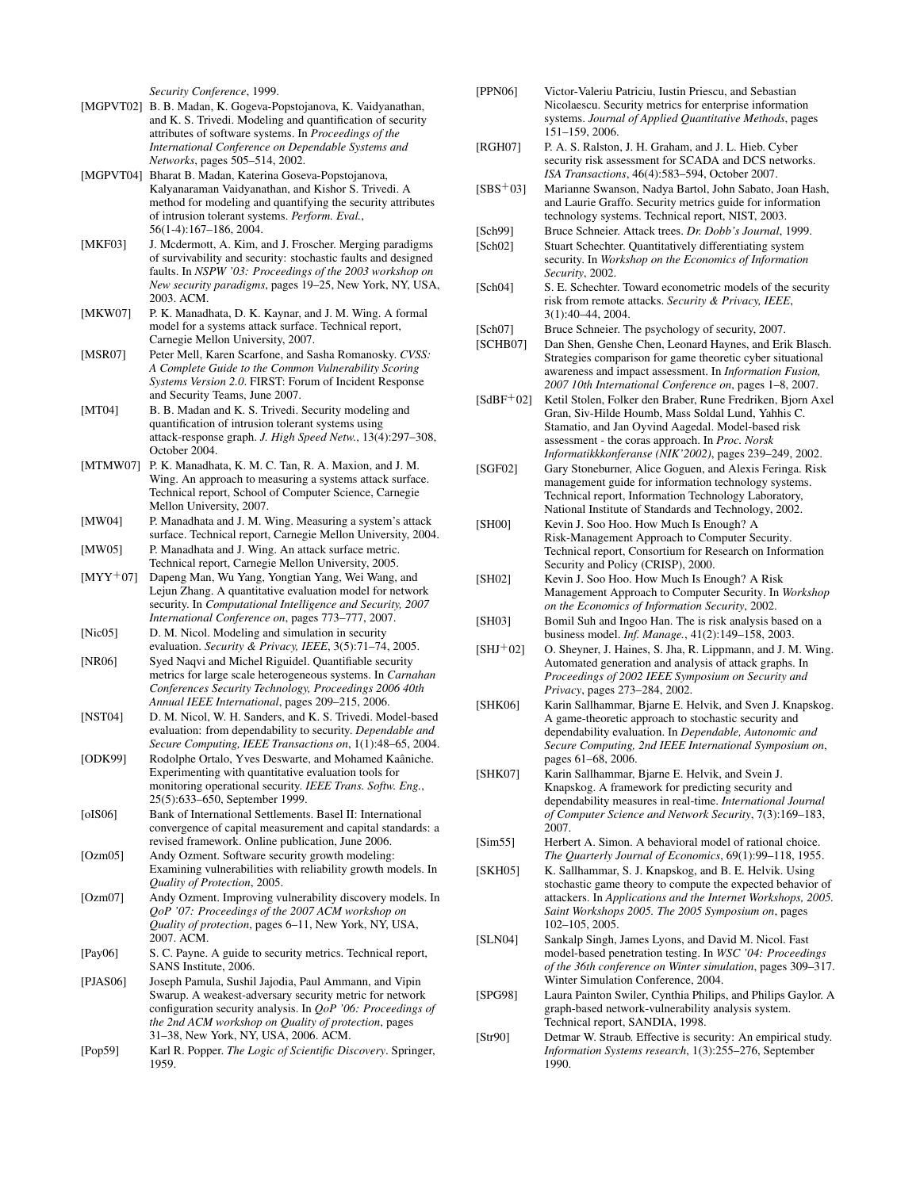*Security Conference*, 1999.

- [MGPVT02] B. B. Madan, K. Gogeva-Popstojanova, K. Vaidyanathan, and K. S. Trivedi. Modeling and quantification of security attributes of software systems. In *Proceedings of the International Conference on Dependable Systems and Networks*, pages 505–514, 2002.
- [MGPVT04] Bharat B. Madan, Katerina Goseva-Popstojanova, Kalyanaraman Vaidyanathan, and Kishor S. Trivedi. A method for modeling and quantifying the security attributes of intrusion tolerant systems. *Perform. Eval.*, 56(1-4):167–186, 2004.
- [MKF03] J. Mcdermott, A. Kim, and J. Froscher. Merging paradigms of survivability and security: stochastic faults and designed faults. In *NSPW '03: Proceedings of the 2003 workshop on New security paradigms*, pages 19–25, New York, NY, USA, 2003. ACM.
- [MKW07] P. K. Manadhata, D. K. Kaynar, and J. M. Wing. A formal model for a systems attack surface. Technical report, Carnegie Mellon University, 2007.
- [MSR07] Peter Mell, Karen Scarfone, and Sasha Romanosky. *CVSS: A Complete Guide to the Common Vulnerability Scoring Systems Version 2.0*. FIRST: Forum of Incident Response and Security Teams, June 2007.
- [MT04] B. B. Madan and K. S. Trivedi. Security modeling and quantification of intrusion tolerant systems using attack-response graph. *J. High Speed Netw.*, 13(4):297–308, October 2004.
- [MTMW07] P. K. Manadhata, K. M. C. Tan, R. A. Maxion, and J. M. Wing. An approach to measuring a systems attack surface. Technical report, School of Computer Science, Carnegie Mellon University, 2007.
- [MW04] P. Manadhata and J. M. Wing. Measuring a system's attack surface. Technical report, Carnegie Mellon University, 2004. [MW05] P. Manadhata and J. Wing. An attack surface metric.
- Technical report, Carnegie Mellon University, 2005.
- [MYY+07] Dapeng Man, Wu Yang, Yongtian Yang, Wei Wang, and Lejun Zhang. A quantitative evaluation model for network security. In *Computational Intelligence and Security, 2007 International Conference on*, pages 773–777, 2007.
- [Nic05] D. M. Nicol. Modeling and simulation in security evaluation. *Security & Privacy, IEEE*, 3(5):71–74, 2005.
- [NR06] Syed Naqvi and Michel Riguidel. Quantifiable security metrics for large scale heterogeneous systems. In *Carnahan Conferences Security Technology, Proceedings 2006 40th Annual IEEE International*, pages 209–215, 2006.
- [NST04] D. M. Nicol, W. H. Sanders, and K. S. Trivedi. Model-based evaluation: from dependability to security. *Dependable and Secure Computing, IEEE Transactions on*, 1(1):48–65, 2004.
- [ODK99] Rodolphe Ortalo, Yves Deswarte, and Mohamed Kaâniche. Experimenting with quantitative evaluation tools for monitoring operational security. *IEEE Trans. Softw. Eng.*, 25(5):633–650, September 1999.
- [oIS06] Bank of International Settlements. Basel II: International convergence of capital measurement and capital standards: a revised framework. Online publication, June 2006.
- [Ozm05] Andy Ozment. Software security growth modeling: Examining vulnerabilities with reliability growth models. In *Quality of Protection*, 2005.
- [Ozm07] Andy Ozment. Improving vulnerability discovery models. In *QoP '07: Proceedings of the 2007 ACM workshop on Quality of protection*, pages 6–11, New York, NY, USA, 2007. ACM.
- [Pay06] S. C. Payne. A guide to security metrics. Technical report, SANS Institute, 2006.
- [PJAS06] Joseph Pamula, Sushil Jajodia, Paul Ammann, and Vipin Swarup. A weakest-adversary security metric for network configuration security analysis. In *QoP '06: Proceedings of the 2nd ACM workshop on Quality of protection*, pages 31–38, New York, NY, USA, 2006. ACM.
- [Pop59] Karl R. Popper. *The Logic of Scientific Discovery*. Springer, 1959.
- [PPN06] Victor-Valeriu Patriciu, Iustin Priescu, and Sebastian Nicolaescu. Security metrics for enterprise information systems. *Journal of Applied Quantitative Methods*, pages 151–159, 2006.
- [RGH07] P. A. S. Ralston, J. H. Graham, and J. L. Hieb. Cyber security risk assessment for SCADA and DCS networks. *ISA Transactions*, 46(4):583–594, October 2007.
- [SBS+03] Marianne Swanson, Nadya Bartol, John Sabato, Joan Hash, and Laurie Graffo. Security metrics guide for information technology systems. Technical report, NIST, 2003.
- [Sch99] Bruce Schneier. Attack trees. *Dr. Dobb's Journal*, 1999.
- [Sch02] Stuart Schechter. Quantitatively differentiating system security. In *Workshop on the Economics of Information Security*, 2002.
- [Sch04] S. E. Schechter. Toward econometric models of the security risk from remote attacks. *Security & Privacy, IEEE*, 3(1):40–44, 2004.
- [Sch07] Bruce Schneier. The psychology of security, 2007.
- [SCHB07] Dan Shen, Genshe Chen, Leonard Haynes, and Erik Blasch. Strategies comparison for game theoretic cyber situational awareness and impact assessment. In *Information Fusion, 2007 10th International Conference on*, pages 1–8, 2007.
- [SdBF+02] Ketil Stolen, Folker den Braber, Rune Fredriken, Bjorn Axel Gran, Siv-Hilde Houmb, Mass Soldal Lund, Yahhis C. Stamatio, and Jan Oyvind Aagedal. Model-based risk assessment - the coras approach. In *Proc. Norsk Informatikkkonferanse (NIK'2002)*, pages 239–249, 2002.
- [SGF02] Gary Stoneburner, Alice Goguen, and Alexis Feringa. Risk management guide for information technology systems. Technical report, Information Technology Laboratory, National Institute of Standards and Technology, 2002.
- [SH00] Kevin J. Soo Hoo. How Much Is Enough? A Risk-Management Approach to Computer Security. Technical report, Consortium for Research on Information Security and Policy (CRISP), 2000.
- [SH02] Kevin J. Soo Hoo. How Much Is Enough? A Risk Management Approach to Computer Security. In *Workshop on the Economics of Information Security*, 2002.
- [SH03] Bomil Suh and Ingoo Han. The is risk analysis based on a business model. *Inf. Manage.*, 41(2):149–158, 2003.
- $[SHJ<sup>+</sup>02]$  O. Sheyner, J. Haines, S. Jha, R. Lippmann, and J. M. Wing. Automated generation and analysis of attack graphs. In *Proceedings of 2002 IEEE Symposium on Security and Privacy*, pages 273–284, 2002.
- [SHK06] Karin Sallhammar, Bjarne E. Helvik, and Sven J. Knapskog. A game-theoretic approach to stochastic security and dependability evaluation. In *Dependable, Autonomic and Secure Computing, 2nd IEEE International Symposium on*, pages 61–68, 2006.
- [SHK07] Karin Sallhammar, Bjarne E. Helvik, and Svein J. Knapskog. A framework for predicting security and dependability measures in real-time. *International Journal of Computer Science and Network Security*, 7(3):169–183, 2007.
- [Sim55] Herbert A. Simon. A behavioral model of rational choice. *The Quarterly Journal of Economics*, 69(1):99–118, 1955.
- [SKH05] K. Sallhammar, S. J. Knapskog, and B. E. Helvik. Using stochastic game theory to compute the expected behavior of attackers. In *Applications and the Internet Workshops, 2005. Saint Workshops 2005. The 2005 Symposium on*, pages 102–105, 2005.
- [SLN04] Sankalp Singh, James Lyons, and David M. Nicol. Fast model-based penetration testing. In *WSC '04: Proceedings of the 36th conference on Winter simulation*, pages 309–317. Winter Simulation Conference, 2004.
- [SPG98] Laura Painton Swiler, Cynthia Philips, and Philips Gaylor. A graph-based network-vulnerability analysis system. Technical report, SANDIA, 1998.
- [Str90] Detmar W. Straub. Effective is security: An empirical study. *Information Systems research*, 1(3):255–276, September 1990.